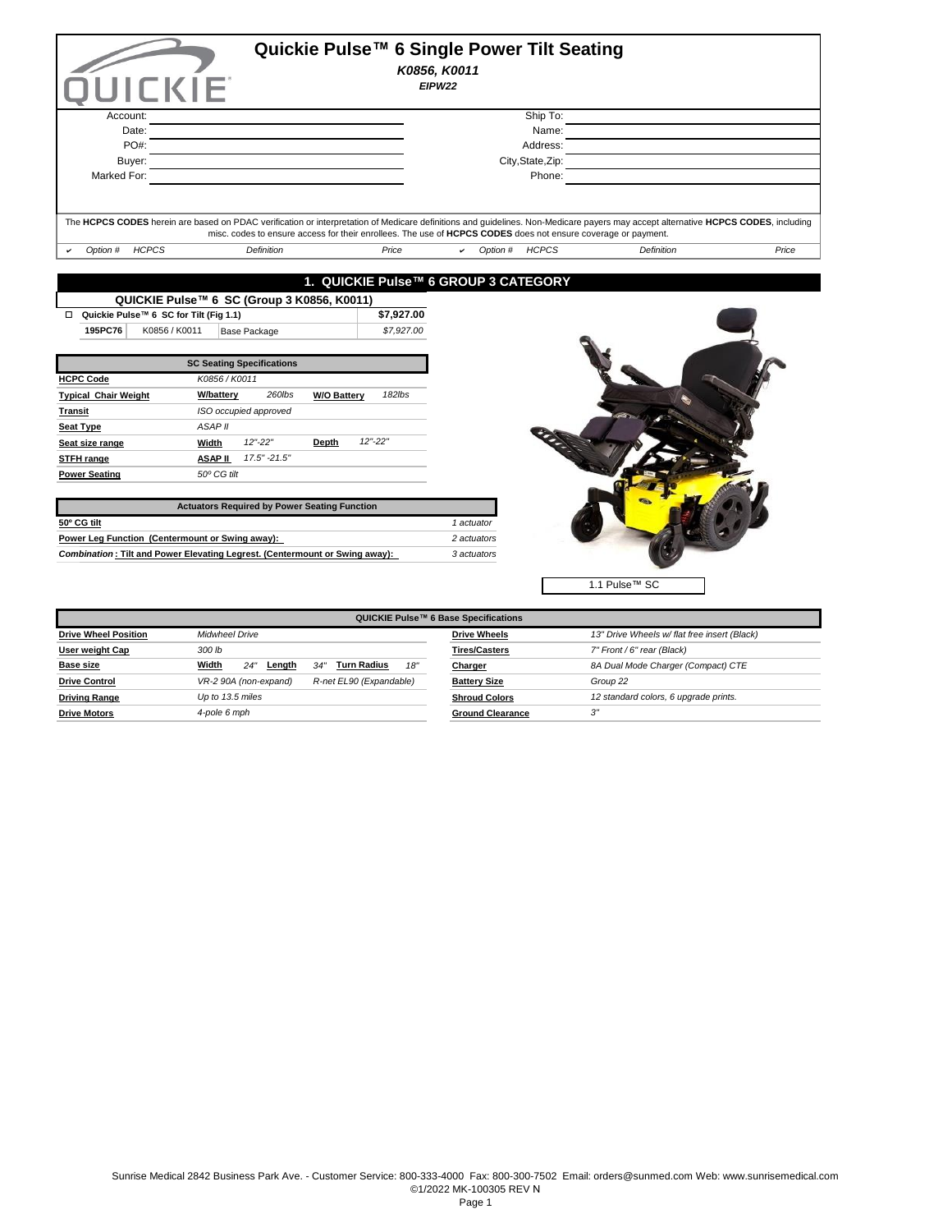|                                             |                                            |                              | Quickie Pulse™ 6 Single Power Tilt Seating                                                                    |                                                                                                                                                                                   |       |
|---------------------------------------------|--------------------------------------------|------------------------------|---------------------------------------------------------------------------------------------------------------|-----------------------------------------------------------------------------------------------------------------------------------------------------------------------------------|-------|
|                                             |                                            |                              | K0856, K0011                                                                                                  |                                                                                                                                                                                   |       |
| <b>UICKIE</b>                               |                                            |                              | EIPW22                                                                                                        |                                                                                                                                                                                   |       |
|                                             |                                            |                              |                                                                                                               |                                                                                                                                                                                   |       |
| Account:                                    |                                            |                              | Ship To:                                                                                                      |                                                                                                                                                                                   |       |
| Date:                                       |                                            |                              |                                                                                                               | Name:                                                                                                                                                                             |       |
| PO#:                                        |                                            |                              | Address:                                                                                                      |                                                                                                                                                                                   |       |
| Buyer:                                      |                                            |                              | City, State, Zip:                                                                                             |                                                                                                                                                                                   |       |
| Marked For:                                 |                                            |                              | Phone:                                                                                                        |                                                                                                                                                                                   |       |
|                                             |                                            |                              |                                                                                                               |                                                                                                                                                                                   |       |
|                                             |                                            |                              |                                                                                                               |                                                                                                                                                                                   |       |
|                                             |                                            |                              | misc. codes to ensure access for their enrollees. The use of HCPCS CODES does not ensure coverage or payment. | The HCPCS CODES herein are based on PDAC verification or interpretation of Medicare definitions and guidelines. Non-Medicare payers may accept alternative HCPCS CODES, including |       |
| Option # HCPCS                              | Definition                                 | Price                        | Option # HCPCS<br>ے                                                                                           | <b>Definition</b>                                                                                                                                                                 | Price |
|                                             |                                            |                              |                                                                                                               |                                                                                                                                                                                   |       |
|                                             |                                            |                              | 1. QUICKIE Pulse™ 6 GROUP 3 CATEGORY                                                                          |                                                                                                                                                                                   |       |
|                                             | QUICKIE Pulse™ 6 SC (Group 3 K0856, K0011) |                              |                                                                                                               |                                                                                                                                                                                   |       |
| Quickie Pulse™ 6 SC for Tilt (Fig 1.1)<br>□ |                                            | \$7,927.00                   |                                                                                                               |                                                                                                                                                                                   |       |
| 195PC76<br>K0856 / K0011                    | Base Package                               | \$7,927.00                   |                                                                                                               |                                                                                                                                                                                   |       |
|                                             |                                            |                              |                                                                                                               |                                                                                                                                                                                   |       |
|                                             | <b>SC Seating Specifications</b>           |                              |                                                                                                               |                                                                                                                                                                                   |       |
| <b>HCPC Code</b>                            | K0856 / K0011                              |                              |                                                                                                               |                                                                                                                                                                                   |       |
| <b>Typical Chair Weight</b>                 | 260lbs<br><b>W/battery</b>                 | 182lbs<br><b>W/O Battery</b> |                                                                                                               |                                                                                                                                                                                   |       |
| <b>Transit</b>                              | ISO occupied approved                      |                              |                                                                                                               |                                                                                                                                                                                   |       |
| <b>Seat Type</b>                            | <b>ASAP II</b>                             |                              |                                                                                                               |                                                                                                                                                                                   |       |
| Seat size range                             | $12" - 22"$<br>Width                       | $12" - 22"$<br>Depth         |                                                                                                               |                                                                                                                                                                                   |       |

| <b>Actuators Required by Power Seating Function</b>                         |             |
|-----------------------------------------------------------------------------|-------------|
| 50º CG tilt                                                                 | 1 actuator  |
| Power Lea Function (Centermount or Swing away):                             | 2 actuators |
| Combination: Tilt and Power Elevating Legrest. (Centermount or Swing away): | 3 actuators |

**STFH range ASAP II** *17.5" -21.5"* 

**Power Seating** *50º CG tilt* 



| QUICKIE Pulse™ 6 Base Specifications |                                                       |                         |                                              |  |  |  |  |
|--------------------------------------|-------------------------------------------------------|-------------------------|----------------------------------------------|--|--|--|--|
| <b>Drive Wheel Position</b>          | <b>Midwheel Drive</b>                                 | <b>Drive Wheels</b>     | 13" Drive Wheels w/ flat free insert (Black) |  |  |  |  |
| User weight Cap                      | 300 lb                                                | <b>Tires/Casters</b>    | 7" Front / 6" rear (Black)                   |  |  |  |  |
| <b>Base size</b>                     | Width<br>Turn Radius<br>18'<br>24'<br>.34''<br>Length | Charger                 | 8A Dual Mode Charger (Compact) CTE           |  |  |  |  |
| <b>Drive Control</b>                 | VR-2 90A (non-expand)<br>R-net EL90 (Expandable)      | <b>Battery Size</b>     | Group 22                                     |  |  |  |  |
| <b>Driving Range</b>                 | Up to 13.5 miles                                      | <b>Shroud Colors</b>    | 12 standard colors, 6 upgrade prints.        |  |  |  |  |
| <b>Drive Motors</b>                  | 4-pole 6 mph                                          | <b>Ground Clearance</b> | 3"                                           |  |  |  |  |
|                                      |                                                       |                         |                                              |  |  |  |  |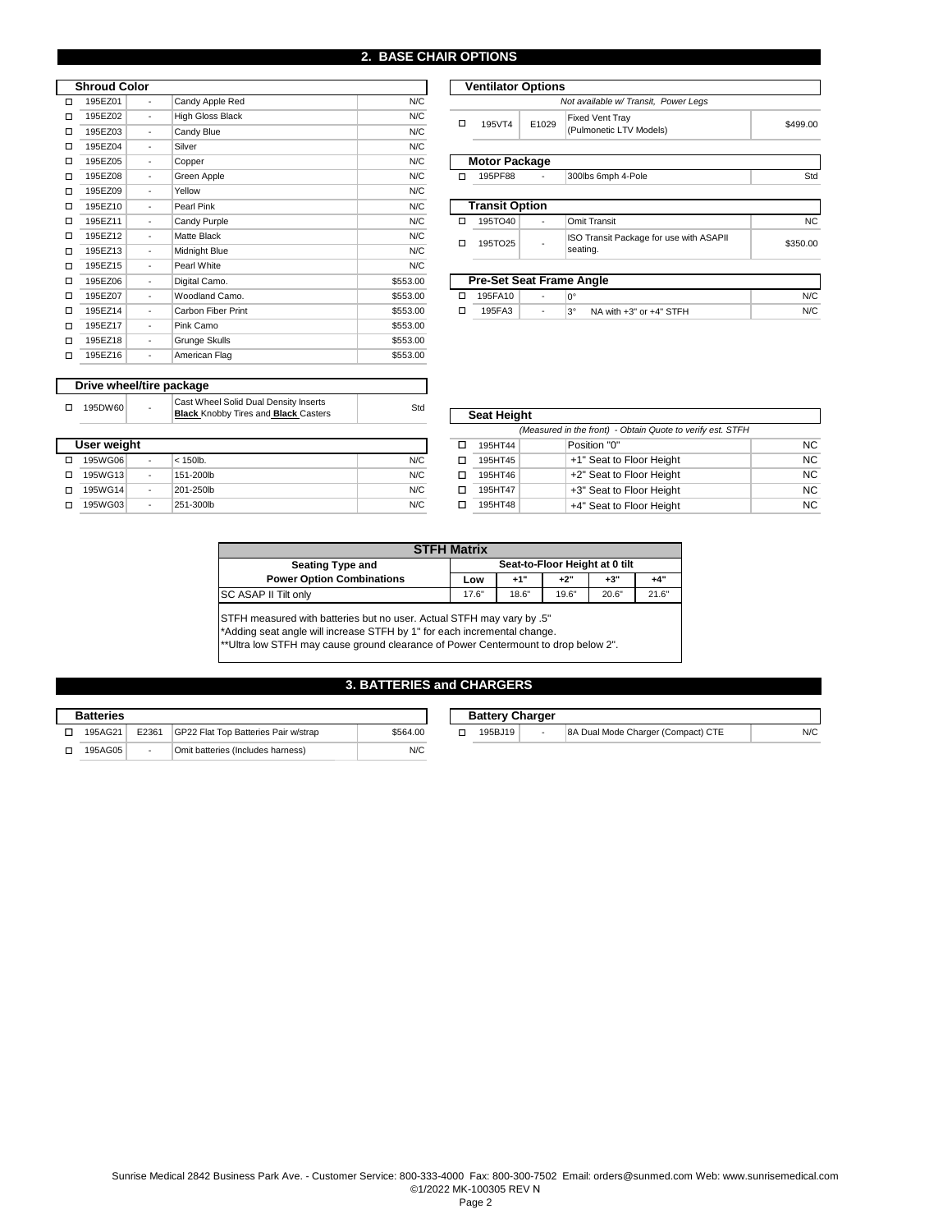#### **2. BASE CHAIR OPTIONS**

|   | <b>Shroud Color</b> |   |                    |          | <b>Ventilator Options</b> |                           |       |                |
|---|---------------------|---|--------------------|----------|---------------------------|---------------------------|-------|----------------|
| П | 195EZ01             | ٠ | Candy Apple Red    | N/C      |                           |                           |       | Not            |
| □ | 195EZ02             | ٠ | High Gloss Black   | N/C      | о                         | 195VT4                    | E1029 | Fi:            |
| □ | 195EZ03             | ٠ | Candy Blue         | N/C      |                           |                           |       | (P)            |
| □ | 195EZ04             | ٠ | Silver             | N/C      |                           |                           |       |                |
| □ | 195EZ05             | ٠ | Copper             | N/C      |                           | <b>Motor Package</b>      |       |                |
| □ | 195EZ08             | ٠ | Green Apple        | N/C      | о                         | 195PF88                   |       | 3 <sup>c</sup> |
| □ | 195EZ09             | ٠ | Yellow             | N/C      |                           |                           |       |                |
| □ | 195EZ10             | ٠ | Pearl Pink         | N/C      |                           | <b>Transit Option</b>     |       |                |
| □ | 195EZ11             | ٠ | Candy Purple       | N/C      | □                         | 195TO40                   | ٠     | O              |
| □ | 195EZ12             | ٠ | <b>Matte Black</b> | N/C      | □                         | 195TO25                   |       | IS             |
| □ | 195EZ13             | ٠ | Midnight Blue      | N/C      |                           |                           |       | se             |
| □ | 195EZ15             | ٠ | Pearl White        | N/C      |                           |                           |       |                |
| □ | 195EZ06             | ٠ | Digital Camo.      | \$553.00 |                           | <b>Pre-Set Seat Frame</b> |       |                |
| □ | 195EZ07             | ٠ | Woodland Camo.     | \$553.00 | □                         | 195FA10                   | ٠     | $0^{\circ}$    |
| □ | 195EZ14             | ٠ | Carbon Fiber Print | \$553.00 | о                         | 195FA3                    | ٠     | $3^{\circ}$    |
| □ | 195EZ17             | ٠ | Pink Camo          | \$553.00 |                           |                           |       |                |
| □ | 195EZ18             | ٠ | Grunge Skulls      | \$553.00 |                           |                           |       |                |
| □ | 195EZ16             | ٠ | American Flag      | \$553.00 |                           |                           |       |                |

|   | <b>Ventilator Options</b>           |       |                                                     |           |  |  |  |  |
|---|-------------------------------------|-------|-----------------------------------------------------|-----------|--|--|--|--|
|   | Not available w/Transit, Power Legs |       |                                                     |           |  |  |  |  |
| п | 195VT4                              | E1029 | <b>Fixed Vent Tray</b><br>(Pulmonetic LTV Models)   | \$499.00  |  |  |  |  |
|   | <b>Motor Package</b>                |       |                                                     |           |  |  |  |  |
| п | 195PF88                             |       | 300lbs 6mph 4-Pole                                  | Std       |  |  |  |  |
|   |                                     |       |                                                     |           |  |  |  |  |
|   | <b>Transit Option</b>               |       |                                                     |           |  |  |  |  |
| п | 195TO40                             |       | Omit Transit                                        | <b>NC</b> |  |  |  |  |
| п | 195TO25                             |       | ISO Transit Package for use with ASAPII<br>seating. | \$350.00  |  |  |  |  |
|   |                                     |       |                                                     |           |  |  |  |  |
|   | <b>Pre-Set Seat Frame Angle</b>     |       |                                                     |           |  |  |  |  |
| п | 195FA10                             |       | 0°                                                  | N/C       |  |  |  |  |

 $3^\circ$  NA with  $+3^\circ$  or  $+4^\circ$  STFH

 $N/C$ 

| Drive wheel/tire package |                |                                                                                      |     |
|--------------------------|----------------|--------------------------------------------------------------------------------------|-----|
| 195DW60                  | $\overline{a}$ | Cast Wheel Solid Dual Density Inserts<br><b>Black Knobby Tires and Black Casters</b> | Std |

#### 口 195WG06 | - |< 150lb. | N/C 囗 □ 195WG13 - |151-200lb N/C □ O 195WG14 - 201-250lb - → O or Height - → O or Height - → O or Height - → O or Height - → O or Height - O or H o o +4" Seat to Floor Height -  $\begin{array}{|c|c|c|c|}\n\hline\n\text{195WG14} & \text{-}\n\end{array}$ - - N/C  **User weight**  N/C 201-250lb N/C 151-200lb 195WG03  $<$  150lb. 251-300lb

| <b>Seat Height</b>                                         |                          |           |  |  |  |  |
|------------------------------------------------------------|--------------------------|-----------|--|--|--|--|
| (Measured in the front) - Obtain Quote to verify est. STFH |                          |           |  |  |  |  |
| 195HT44                                                    | Position "0"             | NC.       |  |  |  |  |
| 195HT45                                                    | +1" Seat to Floor Height | NC.       |  |  |  |  |
| 195HT46                                                    | +2" Seat to Floor Height | <b>NC</b> |  |  |  |  |
| 195HT47                                                    | +3" Seat to Floor Height | <b>NC</b> |  |  |  |  |
| 195HT48                                                    | +4" Seat to Floor Height | NC.       |  |  |  |  |

| <b>STFH Matrix</b>               |                                |       |       |       |       |  |
|----------------------------------|--------------------------------|-------|-------|-------|-------|--|
| <b>Seating Type and</b>          | Seat-to-Floor Height at 0 tilt |       |       |       |       |  |
| <b>Power Option Combinations</b> | Low                            | $+1"$ | $+2"$ | $+3"$ | $+4"$ |  |
| SC ASAP II Tilt only             | 17.6"                          | 18.6" | 19.6" | 20.6" | 21.6" |  |

STFH measured with batteries but no user. Actual STFH may vary by .5"

\*Adding seat angle will increase STFH by 1" for each incremental change.

\*\*Ultra low STFH may cause ground clearance of Power Centermount to drop below 2".

# **3. BATTERIES and CHARGERS**

| <b>Batteries</b> |         |       |                                       |          | <b>Battery Charger</b> |                                    |
|------------------|---------|-------|---------------------------------------|----------|------------------------|------------------------------------|
|                  | 195AG21 | E2361 | IGP22 Flat Top Batteries Pair w/strap | \$564.00 | 195BJ19                | 8A Dual Mode Charger (Compact) CTE |
|                  | 195AG05 |       | Omit batteries (Includes harness)     | N/C      |                        |                                    |

| <b>Battery Charger</b> |   |                                    |     |
|------------------------|---|------------------------------------|-----|
| 195BJ19                | ٠ | 8A Dual Mode Charger (Compact) CTE | N/C |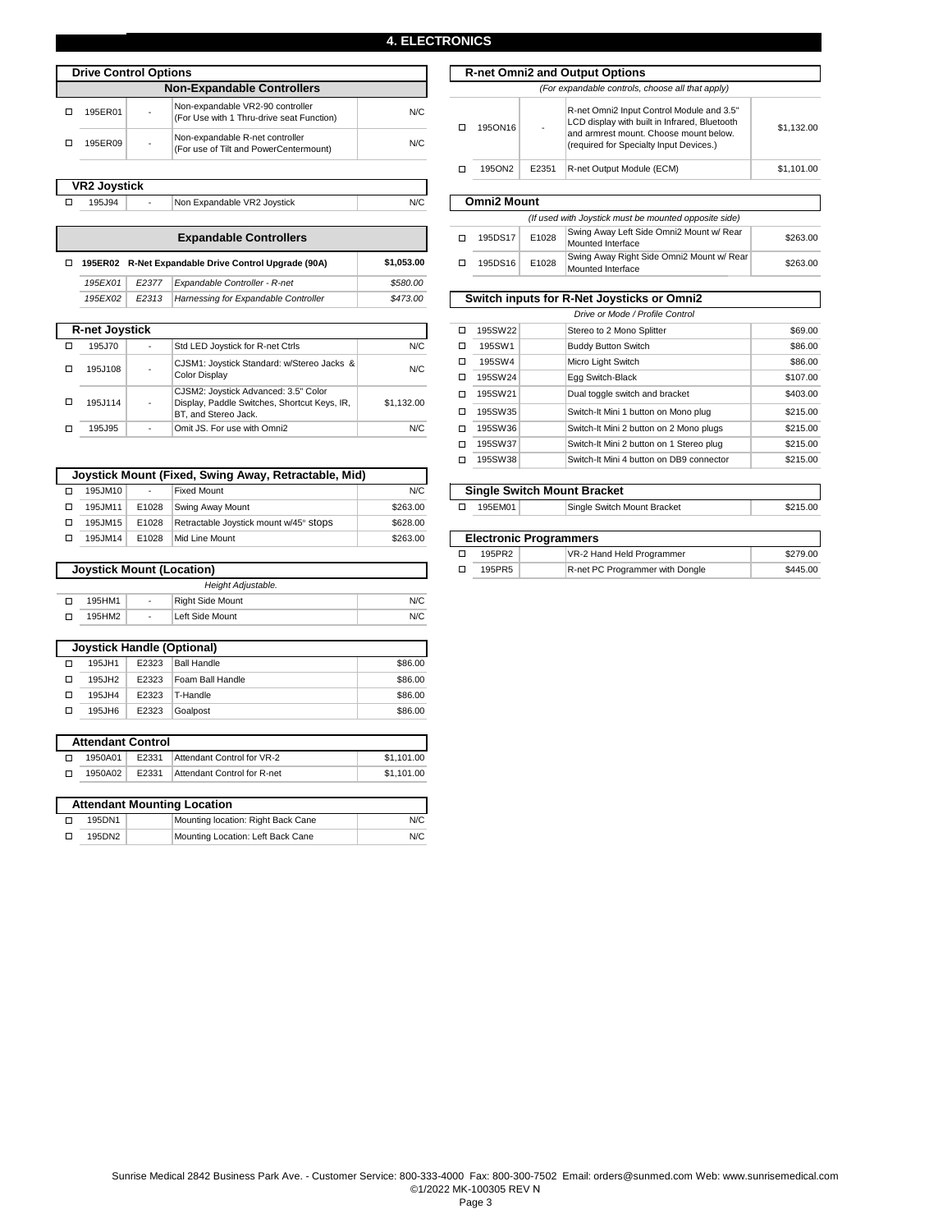#### **4. ELECTRONICS**

N/C

| <b>Drive Control Options</b>      |  |                                                                               |      |  |  |  |
|-----------------------------------|--|-------------------------------------------------------------------------------|------|--|--|--|
| <b>Non-Expandable Controllers</b> |  |                                                                               |      |  |  |  |
| 195ER01                           |  | Non-expandable VR2-90 controller<br>(For Use with 1 Thru-drive seat Function) | N/C. |  |  |  |
| 195ER09                           |  | Non-expandable R-net controller<br>(For use of Tilt and PowerCentermount)     | N/C. |  |  |  |

| <b>VR2 Joystick</b> |  |         |                             |
|---------------------|--|---------|-----------------------------|
|                     |  | 195.194 | Non Expandable VR2 Joystick |

Non Expandable VR2 Joystick 195J94 -

| <b>Expandable Controllers</b> |                                                      |                    |                                      |          |  |
|-------------------------------|------------------------------------------------------|--------------------|--------------------------------------|----------|--|
| п                             | 195ER02 R-Net Expandable Drive Control Upgrade (90A) | \$1.053.00         |                                      |          |  |
|                               | 195EX01                                              | F <sub>2</sub> 377 | Expandable Controller - R-net        | \$580.00 |  |
|                               | 195EX02                                              | E <sub>2</sub> 313 | Harnessing for Expandable Controller | \$473.00 |  |
|                               |                                                      |                    |                                      |          |  |

| <b>R-net Joystick</b> |         |   |                                                                                                              |            |  |  |
|-----------------------|---------|---|--------------------------------------------------------------------------------------------------------------|------------|--|--|
|                       | 195.J70 |   | Std LED Joystick for R-net Ctrls                                                                             | N/C        |  |  |
|                       | 195J108 | ٠ | CJSM1: Joystick Standard: w/Stereo Jacks &<br><b>Color Display</b>                                           | N/C        |  |  |
|                       | 195J114 |   | CJSM2: Joystick Advanced: 3.5" Color<br>Display, Paddle Switches, Shortcut Keys, IR,<br>BT, and Stereo Jack. | \$1,132.00 |  |  |
|                       | 195.J95 |   | Omit JS. For use with Omni2                                                                                  | N/C        |  |  |

|         |       | Joystick Mount (Fixed, Swing Away, Retractable, Mid) |          |
|---------|-------|------------------------------------------------------|----------|
| 195JM10 |       | <b>Fixed Mount</b>                                   | N/C      |
| 195JM11 | E1028 | Swing Away Mount                                     | \$263.00 |
| 195JM15 | E1028 | Retractable Joystick mount w/45° Stops               | \$628.00 |
| 195JM14 | E1028 | Mid Line Mount                                       | \$263.00 |

| <b>Joystick Mount (Location)</b> |                    |                          |                  |     |  |  |
|----------------------------------|--------------------|--------------------------|------------------|-----|--|--|
|                                  | Height Adjustable. |                          |                  |     |  |  |
|                                  | 195HM1             | $\overline{\phantom{a}}$ | Right Side Mount | N/C |  |  |
|                                  | 195HM2             |                          | Left Side Mount  | N/C |  |  |

| Joystick Handle (Optional) |       |                    |         |  |  |  |
|----------------------------|-------|--------------------|---------|--|--|--|
| 195JH1                     | E2323 | <b>Ball Handle</b> | \$86.00 |  |  |  |
| 195JH2                     | E2323 | Foam Ball Handle   | \$86.00 |  |  |  |
| 195JH4                     | E2323 | T-Handle           | \$86.00 |  |  |  |
| 195JH6                     | E2323 | Goalpost           | \$86.00 |  |  |  |

| <b>Attendant Control</b> |         |       |                             |            |  |  |
|--------------------------|---------|-------|-----------------------------|------------|--|--|
|                          | 1950A01 | F2331 | Attendant Control for VR-2  | \$1,101.00 |  |  |
|                          | 1950A02 | F2331 | Attendant Control for R-net | \$1,101.00 |  |  |

| <b>Attendant Mounting Location</b> |                                    |     |  |  |  |
|------------------------------------|------------------------------------|-----|--|--|--|
| 195DN1                             | Mounting location: Right Back Cane | N/C |  |  |  |
| 195DN2                             | Mounting Location: Left Back Cane  | N/C |  |  |  |

|  | Options                                                                                                                                                                  |  |         |                                                  |                                                                                            | <b>R-net Omni2 and Output Options</b>                                             |            |  |
|--|--------------------------------------------------------------------------------------------------------------------------------------------------------------------------|--|---------|--------------------------------------------------|--------------------------------------------------------------------------------------------|-----------------------------------------------------------------------------------|------------|--|
|  | <b>Non-Expandable Controllers</b>                                                                                                                                        |  |         | (For expandable controls, choose all that apply) |                                                                                            |                                                                                   |            |  |
|  | Non-expandable VR2-90 controller<br>N/C<br>(For Use with 1 Thru-drive seat Function)<br>Non-expandable R-net controller<br>N/C<br>(For use of Tilt and PowerCentermount) |  | 1950N16 |                                                  | R-net Omni2 Input Control Module and 3.5"<br>LCD display with built in Infrared, Bluetooth | \$1.132.00                                                                        |            |  |
|  |                                                                                                                                                                          |  |         |                                                  |                                                                                            | and armrest mount. Choose mount below.<br>(required for Specialty Input Devices.) |            |  |
|  |                                                                                                                                                                          |  |         | 1950N2                                           | E2351                                                                                      | R-net Output Module (ECM)                                                         | \$1,101.00 |  |

# **Omni2 Mount**

|            | (If used with Joystick must be mounted opposite side) |         |                                                                        |                                                                |          |  |  |
|------------|-------------------------------------------------------|---------|------------------------------------------------------------------------|----------------------------------------------------------------|----------|--|--|
|            |                                                       | 195DS17 | Swing Away Left Side Omni2 Mount w/ Rear<br>E1028<br>Mounted Interface |                                                                | \$263.00 |  |  |
| \$1.053.00 |                                                       | 195DS16 | E1028                                                                  | Swing Away Right Side Omni2 Mount w/ Rear<br>Mounted Interface | \$263.00 |  |  |

٦

| 3.00 | Switch inputs for R-Net Joysticks or Omni2 |         |                                          |          |  |  |  |  |
|------|--------------------------------------------|---------|------------------------------------------|----------|--|--|--|--|
|      |                                            |         | Drive or Mode / Profile Control          |          |  |  |  |  |
|      | 195SW22<br>Stereo to 2 Mono Splitter<br>□  |         |                                          |          |  |  |  |  |
| N/C  | □                                          | 195SW1  | <b>Buddy Button Switch</b>               | \$86.00  |  |  |  |  |
| N/C  | □                                          | 195SW4  | Micro Light Switch                       | \$86.00  |  |  |  |  |
|      | п                                          | 195SW24 | Egg Switch-Black                         | \$107.00 |  |  |  |  |
| 2.00 | п                                          | 195SW21 | Dual toggle switch and bracket           | \$403.00 |  |  |  |  |
|      | п                                          | 195SW35 | Switch-It Mini 1 button on Mono plug     | \$215.00 |  |  |  |  |
| N/C  | п                                          | 195SW36 | Switch-It Mini 2 button on 2 Mono plugs  | \$215.00 |  |  |  |  |
|      | □                                          | 195SW37 | Switch-It Mini 2 button on 1 Stereo plug | \$215.00 |  |  |  |  |
|      | п                                          | 195SW38 | Switch-It Mini 4 button on DB9 connector | \$215.00 |  |  |  |  |

| <b>Single Switch Mount Bracket</b> |         |                             |          |  |  |
|------------------------------------|---------|-----------------------------|----------|--|--|
|                                    | 195EM01 | Single Switch Mount Bracket | \$215.00 |  |  |
|                                    |         |                             |          |  |  |

| <b>Electronic Programmers</b> |                                 |          |  |  |  |  |
|-------------------------------|---------------------------------|----------|--|--|--|--|
| 195PR2                        | VR-2 Hand Held Programmer       | \$279.00 |  |  |  |  |
| 195PR5                        | R-net PC Programmer with Dongle | \$445.00 |  |  |  |  |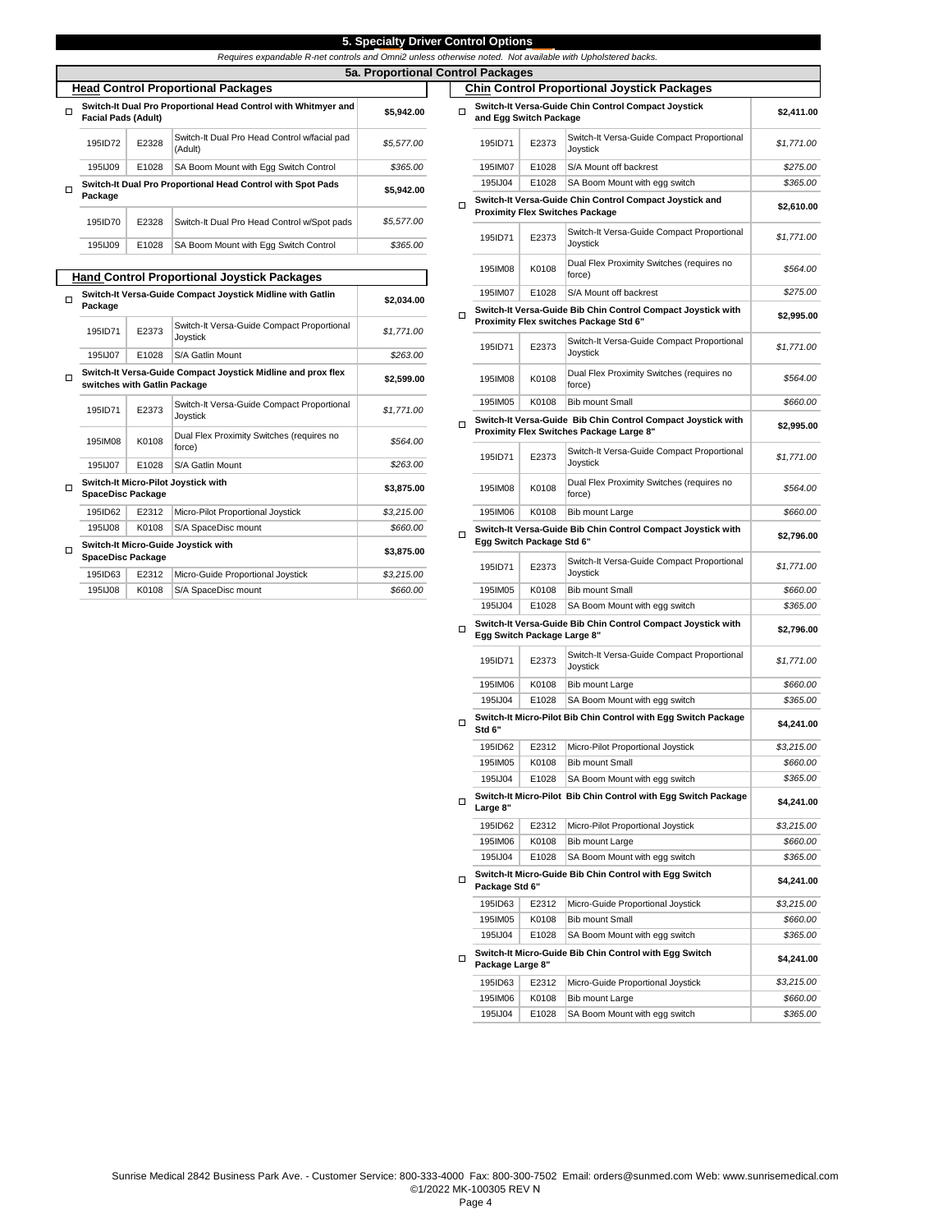|--|

|  | able R-net controls and Omni2 unless otherwise noted. Not available with Upholstered backs |  |  |  |
|--|--------------------------------------------------------------------------------------------|--|--|--|
|--|--------------------------------------------------------------------------------------------|--|--|--|

|   | Requires expandable R-net controls and Omni2 unless otherwise noted. Not av |       |                                                                |            |   |                                        |   |  |  |  |  |  |
|---|-----------------------------------------------------------------------------|-------|----------------------------------------------------------------|------------|---|----------------------------------------|---|--|--|--|--|--|
|   | 5a. Proportional Control Packages                                           |       |                                                                |            |   |                                        |   |  |  |  |  |  |
|   | <b>Head Control Proportional Packages</b>                                   |       | <b>Chin Control</b>                                            |            |   |                                        |   |  |  |  |  |  |
| п | <b>Facial Pads (Adult)</b>                                                  |       | Switch-It Dual Pro Proportional Head Control with Whitmyer and | \$5,942.00 | п | <b>Switch-It Vers</b><br>and Egg Switc |   |  |  |  |  |  |
|   | 195ID72                                                                     | E2328 | Switch-It Dual Pro Head Control w/facial pad<br>(Adult)        | \$5,577.00 |   | 195ID71                                | Е |  |  |  |  |  |
|   | 1951.109                                                                    | E1028 | SA Boom Mount with Egg Switch Control                          | \$365.00   |   | 195IM07                                | E |  |  |  |  |  |
| п |                                                                             |       | Switch-It Dual Pro Proportional Head Control with Spot Pads    | \$5,942.00 |   | 1951.J04                               | E |  |  |  |  |  |
|   | Package                                                                     |       |                                                                |            | п | <b>Switch-It Vers</b>                  |   |  |  |  |  |  |
|   | 195ID70                                                                     | E2328 | Switch-It Dual Pro Head Control w/Spot pads                    | \$5,577.00 |   | <b>Proximity Flex</b>                  |   |  |  |  |  |  |
|   |                                                                             |       |                                                                |            |   | 195ID71                                | E |  |  |  |  |  |
|   | 195IJ09                                                                     | E1028 | SA Boom Mount with Egg Switch Control                          | \$365.00   |   |                                        |   |  |  |  |  |  |
|   |                                                                             |       | <b>Hand Control Proportional Joystick Packages</b>             |            |   | 195IM08                                | κ |  |  |  |  |  |
|   |                                                                             |       |                                                                |            |   |                                        |   |  |  |  |  |  |

|   | nana Oomnon noponaonar boyanon naonagea                               |            |                                                              |            |  |  |  |  |  |  |
|---|-----------------------------------------------------------------------|------------|--------------------------------------------------------------|------------|--|--|--|--|--|--|
| □ | Switch-It Versa-Guide Compact Joystick Midline with Gatlin<br>Package | \$2.034.00 |                                                              |            |  |  |  |  |  |  |
|   | 195ID71                                                               | E2373      | Switch-It Versa-Guide Compact Proportional<br>Joystick       | \$1,771.00 |  |  |  |  |  |  |
|   | 195IJ07                                                               | E1028      | S/A Gatlin Mount                                             | \$263.00   |  |  |  |  |  |  |
| п | switches with Gatlin Package                                          |            | Switch-It Versa-Guide Compact Joystick Midline and prox flex | \$2,599.00 |  |  |  |  |  |  |
|   | 195ID71                                                               | E2373      | Switch-It Versa-Guide Compact Proportional<br>Joystick       | \$1,771.00 |  |  |  |  |  |  |
|   | 195IM08                                                               | K0108      | Dual Flex Proximity Switches (requires no<br>force)          | \$564.00   |  |  |  |  |  |  |
|   | 1951J07                                                               | E1028      | S/A Gatlin Mount                                             | \$263.00   |  |  |  |  |  |  |
| п | <b>SpaceDisc Package</b>                                              |            | Switch-It Micro-Pilot Joystick with                          | \$3,875.00 |  |  |  |  |  |  |
|   | 195ID62                                                               | E2312      | Micro-Pilot Proportional Joystick                            | \$3.215.00 |  |  |  |  |  |  |
|   | 195IJ08                                                               | K0108      | \$660.00                                                     |            |  |  |  |  |  |  |
| □ | Switch-It Micro-Guide Joystick with<br><b>SpaceDisc Package</b>       | \$3,875.00 |                                                              |            |  |  |  |  |  |  |
|   | 195ID63                                                               | E2312      | Micro-Guide Proportional Joystick                            | \$3,215.00 |  |  |  |  |  |  |
|   | 1951J08                                                               | K0108      | S/A SpaceDisc mount                                          | \$660.00   |  |  |  |  |  |  |

|   | <b>Chin Control Proportional Joystick Packages</b>                            |                |                                                                                                          |                        |  |  |  |  |  |  |
|---|-------------------------------------------------------------------------------|----------------|----------------------------------------------------------------------------------------------------------|------------------------|--|--|--|--|--|--|
| □ | Switch-It Versa-Guide Chin Control Compact Joystick<br>and Egg Switch Package | \$2,411.00     |                                                                                                          |                        |  |  |  |  |  |  |
|   | 195ID71                                                                       | E2373          | Switch-It Versa-Guide Compact Proportional<br>Joystick                                                   | \$1,771.00             |  |  |  |  |  |  |
|   | 195IM07                                                                       | E1028          | S/A Mount off backrest                                                                                   | \$275.00               |  |  |  |  |  |  |
|   | 195IJ04                                                                       | E1028          | SA Boom Mount with egg switch                                                                            | \$365.00               |  |  |  |  |  |  |
| п |                                                                               |                | Switch-It Versa-Guide Chin Control Compact Joystick and<br><b>Proximity Flex Switches Package</b>        | \$2,610.00             |  |  |  |  |  |  |
|   | 195ID71                                                                       | E2373          | Switch-It Versa-Guide Compact Proportional<br>Joystick                                                   | \$1,771.00             |  |  |  |  |  |  |
|   | 195IM08                                                                       | K0108          | Dual Flex Proximity Switches (requires no<br>force)                                                      | \$564.00               |  |  |  |  |  |  |
|   | 195IM07                                                                       | E1028          | S/A Mount off backrest                                                                                   | \$275.00               |  |  |  |  |  |  |
| □ |                                                                               |                | Switch-It Versa-Guide Bib Chin Control Compact Joystick with<br>Proximity Flex switches Package Std 6"   | \$2,995.00             |  |  |  |  |  |  |
|   | 195ID71                                                                       | E2373          | Switch-It Versa-Guide Compact Proportional<br>Joystick                                                   | \$1,771.00             |  |  |  |  |  |  |
|   | 195IM08                                                                       | K0108          | Dual Flex Proximity Switches (requires no<br>force)                                                      | \$564.00               |  |  |  |  |  |  |
|   | 195IM05                                                                       | K0108          | <b>Bib mount Small</b>                                                                                   | \$660.00               |  |  |  |  |  |  |
| □ |                                                                               |                | Switch-It Versa-Guide Bib Chin Control Compact Joystick with<br>Proximity Flex Switches Package Large 8" | \$2,995.00             |  |  |  |  |  |  |
|   | 195ID71                                                                       | E2373          | Switch-It Versa-Guide Compact Proportional<br>Joystick                                                   | \$1,771.00             |  |  |  |  |  |  |
|   | 195IM08                                                                       | K0108          | Dual Flex Proximity Switches (requires no<br>force)                                                      | \$564.00               |  |  |  |  |  |  |
|   | 195IM06                                                                       | K0108          | Bib mount Large                                                                                          | \$660.00               |  |  |  |  |  |  |
| □ | Egg Switch Package Std 6"                                                     |                | Switch-It Versa-Guide Bib Chin Control Compact Joystick with                                             | \$2,796.00             |  |  |  |  |  |  |
|   | 195ID71                                                                       | E2373          | Switch-It Versa-Guide Compact Proportional<br>Joystick                                                   | \$1,771.00             |  |  |  |  |  |  |
|   | 195IM05                                                                       | K0108          | <b>Bib mount Small</b>                                                                                   | \$660.00               |  |  |  |  |  |  |
|   | 195IJ04                                                                       | E1028          | SA Boom Mount with egg switch                                                                            | \$365.00               |  |  |  |  |  |  |
| □ | Egg Switch Package Large 8"                                                   |                | Switch-It Versa-Guide Bib Chin Control Compact Joystick with                                             | \$2,796.00             |  |  |  |  |  |  |
|   | 195ID71                                                                       | E2373          | Switch-It Versa-Guide Compact Proportional<br>Joystick                                                   | \$1,771.00             |  |  |  |  |  |  |
|   | 195IM06                                                                       | K0108          | <b>Bib mount Large</b>                                                                                   | \$660.00               |  |  |  |  |  |  |
|   | 195IJ04                                                                       | E1028          | SA Boom Mount with egg switch                                                                            | \$365.00               |  |  |  |  |  |  |
| □ | Std 6"                                                                        |                | Switch-It Micro-Pilot Bib Chin Control with Egg Switch Package                                           | \$4,241.00             |  |  |  |  |  |  |
|   | 195ID62                                                                       | E2312          | Micro-Pilot Proportional Joystick                                                                        | \$3,215.00             |  |  |  |  |  |  |
|   | 195IM05                                                                       | K0108          | <b>Bib mount Small</b>                                                                                   | \$660.00               |  |  |  |  |  |  |
| □ | 195IJ04                                                                       | E1028          | SA Boom Mount with egg switch<br>Switch-It Micro-Pilot Bib Chin Control with Egg Switch Package          | \$365.00<br>\$4,241.00 |  |  |  |  |  |  |
|   | Large 8"                                                                      |                |                                                                                                          |                        |  |  |  |  |  |  |
|   | 195ID62<br>195IM06                                                            | E2312<br>K0108 | Micro-Pilot Proportional Joystick<br>Bib mount Large                                                     | \$3,215.00<br>\$660.00 |  |  |  |  |  |  |
|   | 195IJ04                                                                       | E1028          | SA Boom Mount with egg switch                                                                            | \$365.00               |  |  |  |  |  |  |
| □ | Package Std 6"                                                                |                | Switch-It Micro-Guide Bib Chin Control with Egg Switch                                                   | \$4,241.00             |  |  |  |  |  |  |
|   | 195ID63                                                                       | E2312          | Micro-Guide Proportional Joystick                                                                        | \$3,215.00             |  |  |  |  |  |  |
|   | 195IM05                                                                       | K0108          | <b>Bib mount Small</b>                                                                                   | \$660.00               |  |  |  |  |  |  |
|   | 195IJ04                                                                       | E1028          | SA Boom Mount with egg switch                                                                            | \$365.00               |  |  |  |  |  |  |
| □ | Package Large 8"                                                              |                | Switch-It Micro-Guide Bib Chin Control with Egg Switch                                                   | \$4,241.00             |  |  |  |  |  |  |
|   | 195ID63                                                                       | E2312          | Micro-Guide Proportional Joystick                                                                        | \$3,215.00             |  |  |  |  |  |  |
|   | 195IM06                                                                       | K0108          | Bib mount Large                                                                                          | \$660.00               |  |  |  |  |  |  |
|   | 195IJ04                                                                       | E1028          | SA Boom Mount with egg switch                                                                            | \$365.00               |  |  |  |  |  |  |
|   |                                                                               |                |                                                                                                          |                        |  |  |  |  |  |  |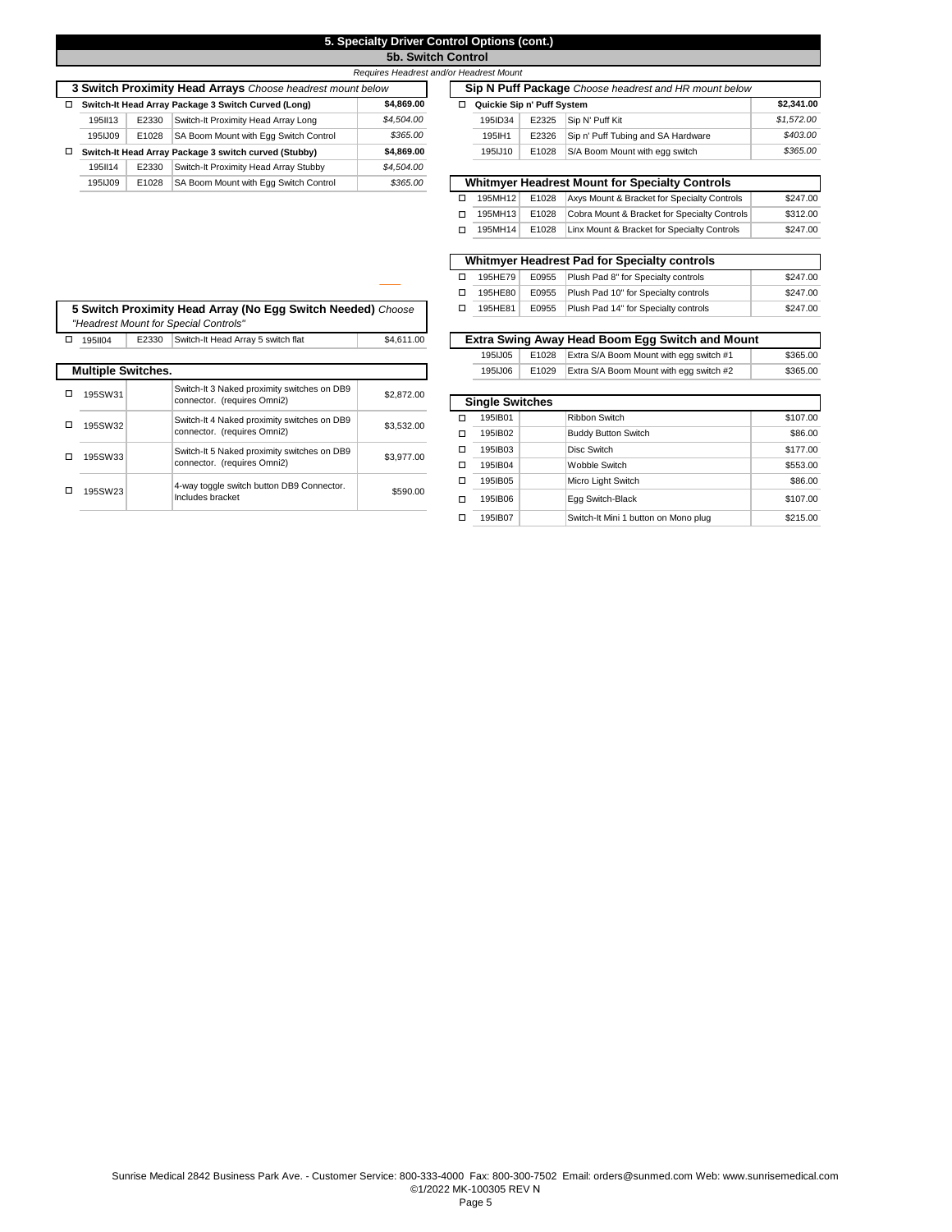# **5. Specialty Driver Control Options (cont.)**

**5b. Switch Control** 

|   | Requires Headrest and/or Headrest Mount                           |       |                                                            |            |  |  |                            |                                                       |                                                       |  |  |
|---|-------------------------------------------------------------------|-------|------------------------------------------------------------|------------|--|--|----------------------------|-------------------------------------------------------|-------------------------------------------------------|--|--|
|   |                                                                   |       | 3 Switch Proximity Head Arrays Choose headrest mount below |            |  |  |                            | Sip N Puff Package Choose headrest and HR mount below |                                                       |  |  |
|   | \$4.869.00<br>Switch-It Head Array Package 3 Switch Curved (Long) |       |                                                            |            |  |  | Quickie Sip n' Puff System |                                                       |                                                       |  |  |
|   | 1951113                                                           | E2330 | Switch-It Proximity Head Array Long                        | \$4,504.00 |  |  | 195ID34                    | E2325                                                 | Sip N' Puff Kit                                       |  |  |
|   | 1951.109                                                          | E1028 | SA Boom Mount with Egg Switch Control                      | \$365.00   |  |  | 195 IH1                    | E2326                                                 | Sip n' Puff Tubing and SA Hardware                    |  |  |
| □ |                                                                   |       | Switch-It Head Array Package 3 switch curved (Stubby)      | \$4.869.00 |  |  | 195IJ10                    | E1028                                                 | S/A Boom Mount with egg switch                        |  |  |
|   | 195114                                                            | E2330 | Switch-It Proximity Head Array Stubby                      | \$4,504.00 |  |  |                            |                                                       |                                                       |  |  |
|   | 195IJ09                                                           | E1028 | SA Boom Mount with Egg Switch Control                      | \$365.00   |  |  |                            |                                                       | <b>Whitmyer Headrest Mount for Specialty Controls</b> |  |  |

| □ | Quickie Sip n' Puff System |       |                                                       | \$2,341.00                       |
|---|----------------------------|-------|-------------------------------------------------------|----------------------------------|
|   | 195ID34                    | E2325 | Sip N' Puff Kit                                       | \$1,572.00                       |
|   | 195 H1                     | E2326 | Sip n' Puff Tubing and SA Hardware                    | \$403.00                         |
|   | 195JJ10                    | E1028 | S/A Boom Mount with egg switch                        | \$365.00                         |
| □ |                            |       | <b>Whitmver Headrest Mount for Specialty Controls</b> |                                  |
|   | 195MH12                    | E1028 | Axys Mount & Bracket for Specialty Controls           |                                  |
| □ | 195MH13                    | E1028 | Cobra Mount & Bracket for Specialty Controls          |                                  |
| □ | 195MH14                    | E1028 | Linx Mount & Bracket for Specialty Controls           |                                  |
|   |                            |       |                                                       |                                  |
|   |                            |       | <b>Whitmver Headrest Pad for Specialty controls</b>   | \$247.00<br>\$312.00<br>\$247.00 |
| п | 195HE79                    | E0955 | Plush Pad 8" for Specialty controls                   | \$247.00                         |

|  |                           |                                                               |                                             |            | 195HE80                | E0955                                | Plush Pad 10" for Specialty controls            | \$247.00 |
|--|---------------------------|---------------------------------------------------------------|---------------------------------------------|------------|------------------------|--------------------------------------|-------------------------------------------------|----------|
|  |                           | 5 Switch Proximity Head Array (No Eqq Switch Needed) Choose   |                                             | 195HE81    | E0955                  | Plush Pad 14" for Specialty controls | \$247.00                                        |          |
|  |                           |                                                               | "Headrest Mount for Special Controls"       |            |                        |                                      |                                                 |          |
|  | 1951104                   | E2330                                                         | Switch-It Head Array 5 switch flat          | \$4.611.00 |                        |                                      | Extra Swing Away Head Boom Egg Switch and Mount |          |
|  |                           |                                                               |                                             |            | 195IJ05                | E1028                                | Extra S/A Boom Mount with egg switch #1         | \$365.00 |
|  | <b>Multiple Switches.</b> |                                                               |                                             |            | 195IJ06                | E1029                                | Extra S/A Boom Mount with egg switch #2         | \$365.00 |
|  | 195SW31                   |                                                               | Switch-It 3 Naked proximity switches on DB9 | \$2,872.00 |                        |                                      |                                                 |          |
|  |                           | connector. (requires Omni2)                                   |                                             |            | <b>Single Switches</b> |                                      |                                                 |          |
|  | 195SW32                   |                                                               | Switch-It 4 Naked proximity switches on DB9 | \$3,532.00 | 195IB01                |                                      | <b>Ribbon Switch</b>                            | \$107.00 |
|  |                           | connector. (requires Omni2)                                   |                                             | 195IB02    |                        | <b>Buddy Button Switch</b>           | \$86,00                                         |          |
|  | 195SW33                   | Switch-It 5 Naked proximity switches on DB9                   |                                             | \$3,977.00 | 195IB03                |                                      | Disc Switch                                     | \$177.00 |
|  |                           | connector. (requires Omni2)                                   |                                             | 195IB04    |                        | Wobble Switch                        | \$553.00                                        |          |
|  | 195SW23                   | 4-way toggle switch button DB9 Connector.<br>Includes bracket |                                             |            | 195IB05                |                                      | Micro Light Switch                              | \$86.00  |
|  |                           |                                                               |                                             | \$590.00   | 195IB06                |                                      | Egg Switch-Black                                | \$107.00 |
|  |                           |                                                               |                                             |            |                        |                                      |                                                 | $\cdots$ |

| Extra Swing Away Head Boom Egg Switch and Mount |         |       |                                         |          |  |  |  |
|-------------------------------------------------|---------|-------|-----------------------------------------|----------|--|--|--|
|                                                 | 195IJ05 | E1028 | Extra S/A Boom Mount with egg switch #1 | \$365.00 |  |  |  |
|                                                 | 195IJ06 | E1029 | Extra S/A Boom Mount with egg switch #2 | \$365.00 |  |  |  |

| connector. (requires Omni2)                 | 34.014.UU  |   | <b>Single Switches</b> |                                      |          |  |  |
|---------------------------------------------|------------|---|------------------------|--------------------------------------|----------|--|--|
| Switch-It 4 Naked proximity switches on DB9 | \$3,532.00 | п | 195IB01                | Ribbon Switch                        | \$107.00 |  |  |
| connector. (requires Omni2)                 |            | п | 195IB02                | <b>Buddy Button Switch</b>           | \$86.00  |  |  |
| Switch-It 5 Naked proximity switches on DB9 | \$3,977.00 | □ | 195IB03                | Disc Switch                          | \$177.00 |  |  |
| connector. (requires Omni2)                 |            | п | 195IB04                | Wobble Switch                        | \$553.00 |  |  |
| 4-way toggle switch button DB9 Connector.   |            | □ | 195IB05                | Micro Light Switch                   | \$86.00  |  |  |
| Includes bracket                            | \$590.00   | п | 195IB06                | Egg Switch-Black                     | \$107.00 |  |  |
|                                             |            | п | 195IB07                | Switch-It Mini 1 button on Mono plug | \$215.00 |  |  |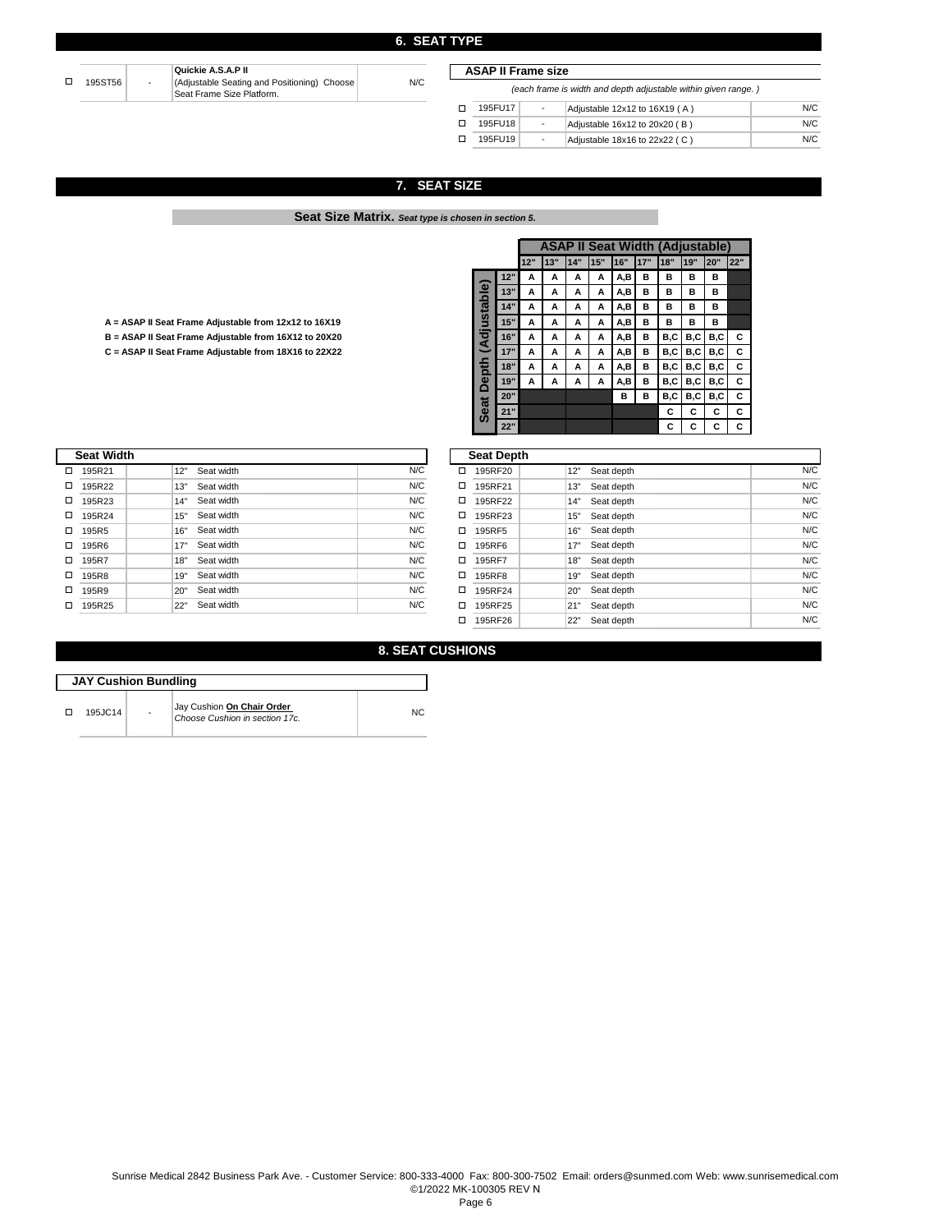|  | 195ST56 | $\sim$ | Quickie A.S.A.P II<br>(Adjustable Seating and Positioning) Choose<br><sup>I</sup> Seat Frame Size Platform. | N/C |
|--|---------|--------|-------------------------------------------------------------------------------------------------------------|-----|
|--|---------|--------|-------------------------------------------------------------------------------------------------------------|-----|

| <b>ASAP II Frame size</b> |                                                                |    |                               |     |  |  |  |  |  |
|---------------------------|----------------------------------------------------------------|----|-------------------------------|-----|--|--|--|--|--|
|                           | (each frame is width and depth adjustable within given range.) |    |                               |     |  |  |  |  |  |
|                           | 195FU17                                                        | ٠  | Adjustable 12x12 to 16X19 (A) | N/C |  |  |  |  |  |
|                           | 195FU18                                                        | ÷, | Adjustable 16x12 to 20x20 (B) | N/C |  |  |  |  |  |
|                           | 195FU19                                                        | ٠  | Adjustable 18x16 to 22x22 (C) | N/C |  |  |  |  |  |

## **7. SEAT SIZE**

**Seat Size Matrix.** *Seat type is chosen in section 5.* 

| A = ASAP II Seat Frame Adjustable from 12x12 to 16X19 |  |
|-------------------------------------------------------|--|
|                                                       |  |

П

|                                                       |                               |     |     | <b>ASAP II Seat Width (Adjustable)</b> |     |     |     |      |       |         |      |     |
|-------------------------------------------------------|-------------------------------|-----|-----|----------------------------------------|-----|-----|-----|------|-------|---------|------|-----|
|                                                       |                               |     | 12" | 13"                                    | 14" | 15" | 16" | 117" | 18"   | 19"     | 20"  | 22" |
|                                                       |                               | 12" | A   |                                        | А   | А   | A,B | в    | в     | в       | в    |     |
|                                                       | ble                           | 13" | A   | A                                      | A   | A   | A,B | в    | в     | в       | в    |     |
|                                                       | ā                             | 14" | A   | A                                      | А   | A   | A,B | в    | в     | в       | в    |     |
| A = ASAP II Seat Frame Adjustable from 12x12 to 16X19 | U.                            | 15" | A   | A                                      | A   | A   | A,B | в    | в     | в       | в    |     |
| B = ASAP II Seat Frame Adjustable from 16X12 to 20X20 | ठ                             | 16" | A   | A                                      | A   | А   | A,B | в    | B,C   | B.C     | B.C  | C   |
| C = ASAP II Seat Frame Adjustable from 18X16 to 22X22 | q                             | 17" | A   | A                                      | A   | A   | A,B | в    | B,C I | B.C     | B, C | С   |
|                                                       | 급                             | 18" | A   | А                                      | A   | A   | A,B | в    | B.C   | B.C     | B.C  | C   |
|                                                       | $\mathbf{a}$<br>⊂             | 19" | A   | A                                      | А   | A   | A,B | в    | B,C   | B.C     | B.C  | C   |
|                                                       |                               | 20" |     |                                        |     |     | в   | в    |       | B,C B,C | B, C | C   |
|                                                       | œ<br>$\mathbf{c}$<br>$\omega$ | 21" |     |                                        |     |     |     |      | С     | С       | C    | С   |
|                                                       |                               | 22" |     |                                        |     |     |     |      | С     |         |      |     |

|   | <b>Seat Width</b> |                   |     |   | <b>Seat Depth</b> |     |            |
|---|-------------------|-------------------|-----|---|-------------------|-----|------------|
| □ | 195R21            | 12"<br>Seat width | N/C | □ | 195RF20           | 12" | Seat depth |
|   | 195R22            | 13"<br>Seat width | N/C | □ | 195RF21           | 13" | Seat depth |
| □ | 195R23            | Seat width<br>14" | N/C | □ | 195RF22           | 14" | Seat depth |
| □ | 195R24            | Seat width<br>15" | N/C | □ | 195RF23           | 15" | Seat depth |
| □ | 195R <sub>5</sub> | Seat width<br>16" | N/C | □ | 195RF5            | 16" | Seat depth |
| □ | 195R6             | Seat width<br>17" | N/C | □ | 195RF6            | 17" | Seat depth |
|   | 195R7             | Seat width<br>18" | N/C | □ | 195RF7            | 18" | Seat depth |
| □ | 195R8             | Seat width<br>19" | N/C | □ | 195RF8            | 19" | Seat depth |
| □ | 195R9             | Seat width<br>20" | N/C | □ | 195RF24           | 20" | Seat depth |
| □ | 195R25            | Seat width<br>22" | N/C | □ | 195RF25           | 21" | Seat depth |

|   | <b>Seat Depth</b> |     |            |     |
|---|-------------------|-----|------------|-----|
| □ | 195RF20           | 12" | Seat depth | N/C |
| □ | 195RF21           | 13" | Seat depth | N/C |
| □ | 195RF22           | 14" | Seat depth | N/C |
| □ | 195RF23           | 15" | Seat depth | N/C |
| □ | 195RF5            | 16" | Seat depth | N/C |
| □ | 195RF6            | 17" | Seat depth | N/C |
| □ | 195RF7            | 18" | Seat depth | N/C |
| □ | 195RF8            | 19" | Seat depth | N/C |
| □ | 195RF24           | 20" | Seat depth | N/C |
| □ | 195RF25           | 21" | Seat depth | N/C |
| □ | 195RF26           | 22" | Seat depth | N/C |

**8. SEAT CUSHIONS** 

| <b>JAY Cushion Bundling</b> |                |                                                              |    |  |  |  |  |  |  |  |
|-----------------------------|----------------|--------------------------------------------------------------|----|--|--|--|--|--|--|--|
| 195JC14                     | $\overline{a}$ | Jay Cushion On Chair Order<br>Choose Cushion in section 17c. | NC |  |  |  |  |  |  |  |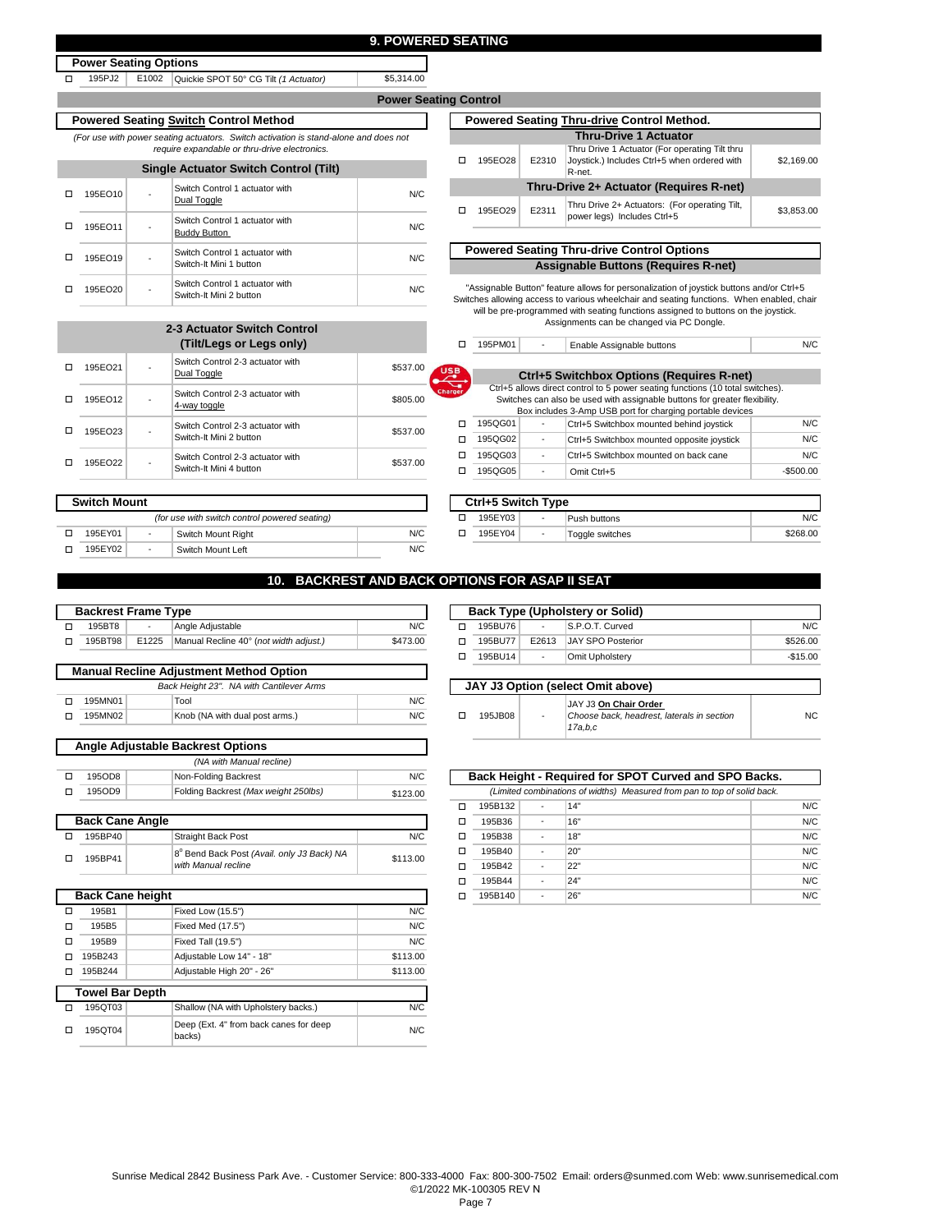**Power Seating Control**

\$5,314.00

**Power Seating Options** 

o

195EO12

o 195EO22 -

 $\Box$  195EO23 -

o 195EO21

-

-

□ 195PJ2 | E1002 Quickie SPOT 50° CG Tilt *(1 Actuator)* 

*(For use with power seating actuators. Switch activation is stand-alone and does require expandable or thru-drive electronics.*  **Powered Seating Switch Control Method**

|                                              | □ 195EO28 |
|----------------------------------------------|-----------|
| <b>Single Actuator Switch Control (Tilt)</b> |           |

|         |   | <u>Uniqid Adludidi Umrlum Udilliyi (Tilli)</u>            |     |
|---------|---|-----------------------------------------------------------|-----|
| 195EO10 |   | Switch Control 1 actuator with<br>Dual Toggle             | N/C |
| 195EO11 | ۰ | Switch Control 1 actuator with<br><b>Buddy Button</b>     | N/C |
| 195EO19 | - | Switch Control 1 actuator with<br>Switch-It Mini 1 button | N/C |
| 195EO20 | - | Switch Control 1 actuator with<br>Switch-It Mini 2 button | N/C |

Switch Control 2-3 actuator with

| Switch Control Method                                         |          |        |         |       | <b>Powered Seating Thru-drive Control Method.</b>                                                                                                                                     |            |
|---------------------------------------------------------------|----------|--------|---------|-------|---------------------------------------------------------------------------------------------------------------------------------------------------------------------------------------|------------|
| ting actuators. Switch activation is stand-alone and does not |          |        |         |       | <b>Thru-Drive 1 Actuator</b>                                                                                                                                                          |            |
| iire expandable or thru-drive electronics.                    |          |        |         |       | Thru Drive 1 Actuator (For operating Tilt thru                                                                                                                                        |            |
| e Actuator Switch Control (Tilt)                              |          | п      | 195EO28 | E2310 | Joystick.) Includes Ctrl+5 when ordered with<br>R-net.                                                                                                                                | \$2,169.00 |
| Switch Control 1 actuator with                                | N/C      |        |         |       | Thru-Drive 2+ Actuator (Requires R-net)                                                                                                                                               |            |
| Dual Toggle                                                   |          | п      | 195EO29 | E2311 | Thru Drive 2+ Actuators: (For operating Tilt,                                                                                                                                         | \$3.853.00 |
| Switch Control 1 actuator with<br><b>Buddy Button</b>         | N/C      |        |         |       | power legs) Includes Ctrl+5                                                                                                                                                           |            |
| Switch Control 1 actuator with                                |          |        |         |       | <b>Powered Seating Thru-drive Control Options</b>                                                                                                                                     |            |
| Switch-It Mini 1 button                                       | N/C      |        |         |       | <b>Assignable Buttons (Requires R-net)</b>                                                                                                                                            |            |
| Switch Control 1 actuator with<br>Switch-It Mini 2 button     | N/C      |        |         |       | "Assignable Button" feature allows for personalization of joystick buttons and/or Ctrl+5<br>Switches allowing access to various wheelchair and seating functions. When enabled, chair |            |
|                                                               |          |        |         |       | will be pre-programmed with seating functions assigned to buttons on the joystick.<br>Assignments can be changed via PC Dongle.                                                       |            |
| -3 Actuator Switch Control                                    |          |        |         |       |                                                                                                                                                                                       |            |
| (Tilt/Legs or Legs only)                                      |          | п      | 195PM01 |       | Enable Assignable buttons                                                                                                                                                             | N/C        |
| Switch Control 2-3 actuator with<br>Dual Toggle               | \$537.00 | USB    |         |       | Ctrl+5 Switchbox Options (Requires R-net)                                                                                                                                             |            |
|                                                               |          | Charge |         |       | Ctrl+5 allows direct control to 5 power seating functions (10 total switches).                                                                                                        |            |
| Switch Control 2-3 actuator with<br>4-way toggle              | \$805.00 |        |         |       | Switches can also be used with assignable buttons for greater flexibility.<br>Box includes 3-Amp USB port for charging portable devices                                               |            |
| Switch Control 2-3 actuator with                              |          | п      | 195QG01 |       | Ctrl+5 Switchbox mounted behind joystick                                                                                                                                              | N/C        |
| Switch-It Mini 2 button                                       | \$537.00 | п      | 195QG02 |       | Ctrl+5 Switchbox mounted opposite joystick                                                                                                                                            | N/C        |

|         |   | Box includes 3-Amp USB port for charging portable devices |            |
|---------|---|-----------------------------------------------------------|------------|
| 195QG01 | ٠ | Ctrl+5 Switchbox mounted behind joystick                  | N/C        |
| 195QG02 | ٠ | Ctrl+5 Switchbox mounted opposite joystick                | N/C        |
| 195QG03 | ٠ | Ctrl+5 Switchbox mounted on back cane                     | N/C        |
| 195QG05 | ٠ | Omit Ctrl+5                                               | $-$500.00$ |
|         |   |                                                           |            |

| <b>Switch Mount</b> |         |                          |                                               |     | Ctrl+5 Switch Type |   |                 |
|---------------------|---------|--------------------------|-----------------------------------------------|-----|--------------------|---|-----------------|
|                     |         |                          | (for use with switch control powered seating) |     | 195EY03            |   | Push buttons    |
|                     | 195EY01 | $\overline{\phantom{a}}$ | Switch Mount Right                            | N/C | 195EY04            | - | Toggle switches |
|                     | 195EY02 |                          | Switch Mount Left                             | N/C |                    |   |                 |

Switch-It Mini 4 button<br>Switch-It Mini 4 button

| Ctrl+5 Switch Type |                          |                 |          |
|--------------------|--------------------------|-----------------|----------|
| 195EY03            | $\overline{\phantom{a}}$ | Push buttons    | N/C      |
| 195EY04            | $\overline{\phantom{a}}$ | Toggle switches | \$268.00 |
|                    |                          |                 |          |

#### **10. BACKREST AND BACK OPTIONS FOR ASAP II SEAT**

| <b>Backrest Frame Type</b> |       |                                        |          |  |         | <b>Back Type (Up</b> |
|----------------------------|-------|----------------------------------------|----------|--|---------|----------------------|
| 195BT8                     |       | Angle Adiustable                       | N/C      |  | 195BU76 |                      |
| 195BT98                    | E1225 | Manual Recline 40° (not width adjust.) | \$473.00 |  | 195BU77 | E26                  |

| <b>Manual Recline Adjustment Method Option</b> |  |                                |     |  |  |  |  |
|------------------------------------------------|--|--------------------------------|-----|--|--|--|--|
| Back Height 23". NA with Cantilever Arms       |  |                                |     |  |  |  |  |
| 195MN01                                        |  | Tool                           | N/C |  |  |  |  |
| 195MN02                                        |  | Knob (NA with dual post arms.) | N/C |  |  |  |  |
|                                                |  |                                |     |  |  |  |  |

| <b>Angle Adjustable Backrest Options</b> |                                      |          |  |  |  |  |  |
|------------------------------------------|--------------------------------------|----------|--|--|--|--|--|
| (NA with Manual recline)                 |                                      |          |  |  |  |  |  |
| 195OD8                                   | Non-Folding Backrest                 | N/C      |  |  |  |  |  |
| 1950D9                                   | Folding Backrest (Max weight 250lbs) | \$123.00 |  |  |  |  |  |

| <b>Back Cane Angle</b> |                                                                   |          |
|------------------------|-------------------------------------------------------------------|----------|
| 195BP40                | <b>Straight Back Post</b>                                         | N/C      |
| 195BP41                | 8° Bend Back Post (Avail. only J3 Back) NA<br>with Manual recline | \$113.00 |

|   | <b>Back Cane height</b> |                                                  |          |  |  |  |  |  |  |  |  |
|---|-------------------------|--------------------------------------------------|----------|--|--|--|--|--|--|--|--|
|   | 195B1                   | Fixed Low (15.5")                                | N/C      |  |  |  |  |  |  |  |  |
| п | 195B <sub>5</sub>       | Fixed Med (17.5")                                | N/C      |  |  |  |  |  |  |  |  |
| п | 195B9                   | Fixed Tall (19.5")                               | N/C      |  |  |  |  |  |  |  |  |
| п | 195B243                 | Adjustable Low 14" - 18"                         | \$113.00 |  |  |  |  |  |  |  |  |
|   | 195B244                 | Adjustable High 20" - 26"                        | \$113.00 |  |  |  |  |  |  |  |  |
|   | <b>Towel Bar Depth</b>  |                                                  |          |  |  |  |  |  |  |  |  |
|   | 195QT03                 | Shallow (NA with Upholstery backs.)              | N/C      |  |  |  |  |  |  |  |  |
|   | 195QT04                 | Deep (Ext. 4" from back canes for deep<br>backs) | N/C      |  |  |  |  |  |  |  |  |

| Back Type (Upholstery or Solid) |                          |                          |           |  |  |  |  |
|---------------------------------|--------------------------|--------------------------|-----------|--|--|--|--|
| 195BU76                         | $\overline{\phantom{a}}$ | S.P.O.T. Curved          | N/C       |  |  |  |  |
| 195BU77                         | E2613                    | <b>JAY SPO Posterior</b> | \$526.00  |  |  |  |  |
| 195BU14                         | $\overline{\phantom{a}}$ | Omit Upholstery          | $-$15.00$ |  |  |  |  |

| JAY J3 Option (select Omit above) |                          |                                                                                |     |  |  |  |  |
|-----------------------------------|--------------------------|--------------------------------------------------------------------------------|-----|--|--|--|--|
| 195JB08                           | $\overline{\phantom{a}}$ | JAY J3 On Chair Order<br>Choose back, headrest, laterals in section<br>17a.b.c | NC. |  |  |  |  |

|   | Back Height - Reguired for SPOT Curved and SPO Backs.                    |   |     |     |  |  |  |  |  |
|---|--------------------------------------------------------------------------|---|-----|-----|--|--|--|--|--|
|   | (Limited combinations of widths) Measured from pan to top of solid back. |   |     |     |  |  |  |  |  |
|   | 195B132                                                                  | ٠ | 14" | N/C |  |  |  |  |  |
| п | 195B36                                                                   | ٠ | 16" | N/C |  |  |  |  |  |
|   | 195B38                                                                   | ٠ | 18" | N/C |  |  |  |  |  |
| п | 195B40                                                                   |   | 20" | N/C |  |  |  |  |  |
| п | 195B42                                                                   |   | 22" | N/C |  |  |  |  |  |
| п | 195B44                                                                   |   | 24" | N/C |  |  |  |  |  |
|   | 195B140                                                                  |   | 26" | N/C |  |  |  |  |  |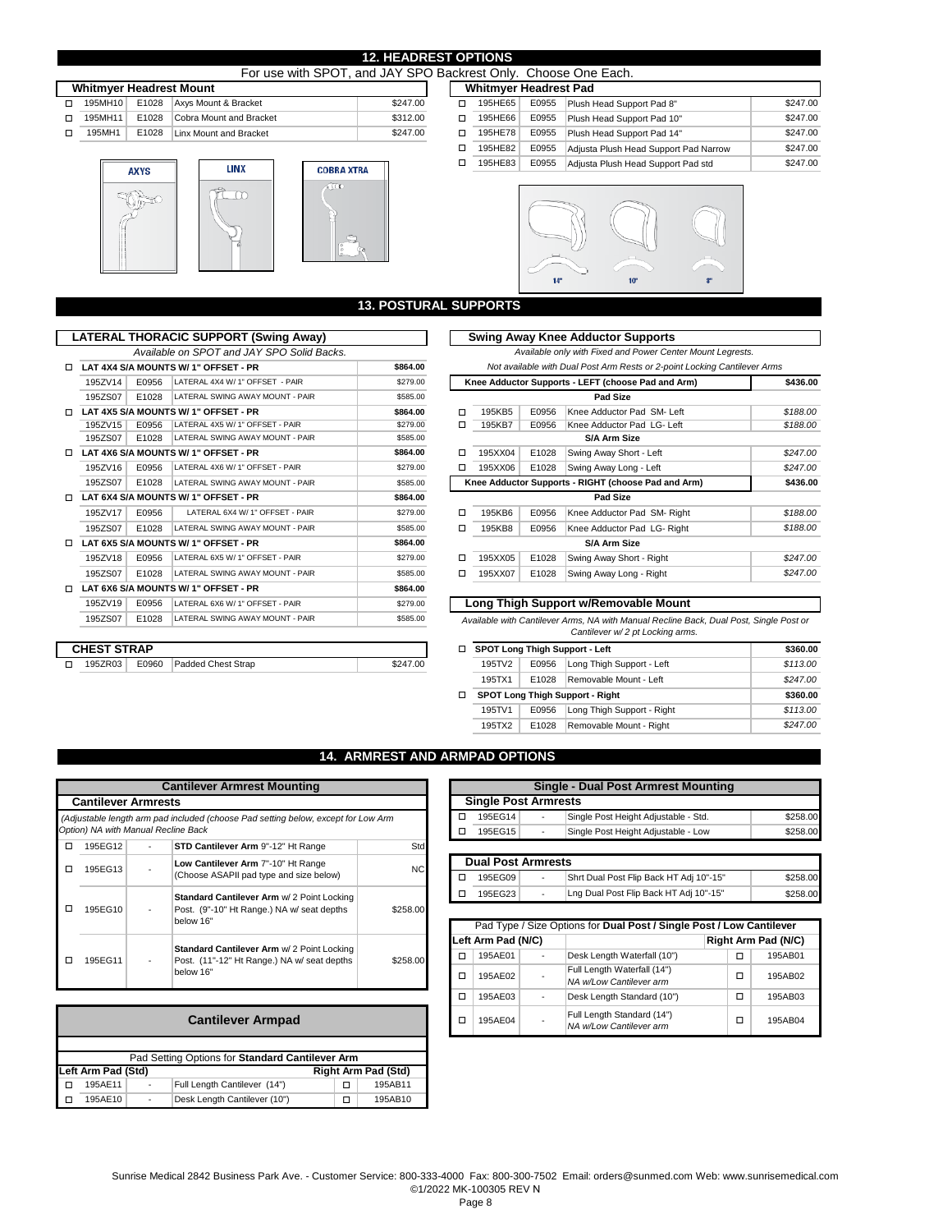|                                | For use with SPOT, and JAY SPO Backrest Only. Choose One Each. |       |                         |          |  |                              |         |       |                            |
|--------------------------------|----------------------------------------------------------------|-------|-------------------------|----------|--|------------------------------|---------|-------|----------------------------|
| <b>Whitmyer Headrest Mount</b> |                                                                |       |                         |          |  | <b>Whitmyer Headrest Pad</b> |         |       |                            |
| п.                             | 195MH10                                                        | E1028 | Axys Mount & Bracket    | \$247.00 |  | п                            | 195HE65 | E0955 | Plush Head Support Pad 8"  |
| п.                             | 195MH11                                                        | E1028 | Cobra Mount and Bracket | \$312.00 |  | п                            | 195HE66 | E0955 | Plush Head Support Pad 10" |
|                                | 195MH1                                                         | E1028 | Linx Mount and Bracket  | \$247.00 |  | □                            | 195HE78 | E0955 | Plush Head Support Pad 14" |

**LINX** 

 $\overline{\Omega}$ 





| <b>12. HEADREST OPTIONS</b>                 |                              |  |  |
|---------------------------------------------|------------------------------|--|--|
| and JAY SPO Backrest Only. Choose One Each. |                              |  |  |
|                                             | <b>Whitmyer Headrest Pad</b> |  |  |
|                                             |                              |  |  |

| □ | 195HE65 | E0955 | Plush Head Support Pad 8"             | \$247.00 |
|---|---------|-------|---------------------------------------|----------|
| □ | 195HE66 | E0955 | Plush Head Support Pad 10"            | \$247.00 |
| □ | 195HE78 | E0955 | Plush Head Support Pad 14"            | \$247.00 |
| п | 195HE82 | E0955 | Adjusta Plush Head Support Pad Narrow | \$247.00 |
| □ | 195HE83 | E0955 | Adjusta Plush Head Support Pad std    | \$247.00 |



## **13. POSTURAL SUPPORTS**

|   |                    |       | <b>LATERAL THORACIC SUPPORT (Swing Away)</b> |          |        |         |                                               | Swing Away Knee Adductor Support                                               |  |
|---|--------------------|-------|----------------------------------------------|----------|--------|---------|-----------------------------------------------|--------------------------------------------------------------------------------|--|
|   |                    |       | Available on SPOT and JAY SPO Solid Backs.   |          |        |         |                                               | Available only with Fixed and Power C                                          |  |
| п |                    |       | LAT 4X4 S/A MOUNTS W/ 1" OFFSET - PR         | \$864.00 |        |         | Not available with Dual Post Arm Rests or 2-p |                                                                                |  |
|   | 195ZV14            | E0956 | LATERAL 4X4 W/ 1" OFFSET - PAIR              | \$279.00 |        |         |                                               | Knee Adductor Supports - LEFT (choose Pad an                                   |  |
|   | 195ZS07            | E1028 | LATERAL SWING AWAY MOUNT - PAIR              | \$585.00 |        |         |                                               | Pad Size                                                                       |  |
| п |                    |       | LAT 4X5 S/A MOUNTS W/ 1" OFFSET - PR         | \$864.00 | □      | 195KB5  | E0956                                         | Knee Adductor Pad SM-                                                          |  |
|   | 195ZV15            | E0956 | LATERAL 4X5 W/ 1" OFFSET - PAIR              | \$279.00 | □      | 195KB7  | E0956                                         | Knee Adductor Pad LG-                                                          |  |
|   | 195ZS07            | E1028 | LATERAL SWING AWAY MOUNT - PAIR              | \$585.00 |        |         |                                               | S/A Arm Size                                                                   |  |
| п |                    |       | LAT 4X6 S/A MOUNTS W/ 1" OFFSET - PR         | \$864.00 | п      | 195XX04 | E1028                                         | Swing Away Short - Left                                                        |  |
|   | 195ZV16            | E0956 | LATERAL 4X6 W/ 1" OFFSET - PAIR              | \$279.00 | □      | 195XX06 | E1028                                         | Swing Away Long - Left                                                         |  |
|   | 195ZS07            | E1028 | LATERAL SWING AWAY MOUNT - PAIR              | \$585.00 |        |         |                                               | Knee Adductor Supports - RIGHT (choose Pad a                                   |  |
| п |                    |       | LAT 6X4 S/A MOUNTS W/ 1" OFFSET - PR         | \$864.00 |        |         |                                               | Pad Size                                                                       |  |
|   | 195ZV17            | E0956 | LATERAL 6X4 W/ 1" OFFSET - PAIR              | \$279.00 | □      | 195KB6  | E0956                                         | Knee Adductor Pad SM-                                                          |  |
|   | 195ZS07            | E1028 | LATERAL SWING AWAY MOUNT - PAIR              | \$585.00 | п      | 195KB8  | E0956                                         | Knee Adductor Pad LG-                                                          |  |
| п |                    |       | LAT 6X5 S/A MOUNTS W/ 1" OFFSET - PR         | \$864.00 |        |         |                                               | <b>S/A Arm Size</b>                                                            |  |
|   | 195ZV18            | E0956 | LATERAL 6X5 W/ 1" OFFSET - PAIR              | \$279.00 | $\Box$ | 195XX05 | E1028                                         | Swing Away Short - Right                                                       |  |
|   | 195ZS07            | E1028 | LATERAL SWING AWAY MOUNT - PAIR              | \$585.00 | □      | 195XX07 | E1028                                         | Swing Away Long - Right                                                        |  |
| п |                    |       | LAT 6X6 S/A MOUNTS W/ 1" OFFSET - PR         | \$864.00 |        |         |                                               |                                                                                |  |
|   | 195ZV19            | E0956 | LATERAL 6X6 W/ 1" OFFSET - PAIR              | \$279.00 |        |         |                                               | Long Thigh Support w/Removable Mo                                              |  |
|   | 195ZS07            | E1028 | LATERAL SWING AWAY MOUNT - PAIR              | \$585.00 |        |         |                                               | Available with Cantilever Arms. NA with Manual Rec<br>Cantilever w/2 pt Lockin |  |
|   | <b>CHEST STRAP</b> |       |                                              |          | о      |         |                                               | <b>SPOT Long Thigh Support - Left</b>                                          |  |
| □ | 195ZR03            | E0960 | <b>Padded Chest Strap</b>                    | \$247.00 |        | 195TV2  | E0956                                         | Long Thigh Support - Lef                                                       |  |

|                                                  | TERAL THORACIC SUPPORT (Swing Away)<br>Available on SPOT and JAY SPO Solid Backs. |                                      |          |   |         | <b>Swing Away Knee Adductor Supports</b><br>Available only with Fixed and Power Center Mount Legrests. |                                                                           |          |  |  |
|--------------------------------------------------|-----------------------------------------------------------------------------------|--------------------------------------|----------|---|---------|--------------------------------------------------------------------------------------------------------|---------------------------------------------------------------------------|----------|--|--|
| \$864.00<br>.AT 4X4 S/A MOUNTS W/ 1" OFFSET - PR |                                                                                   |                                      |          |   |         |                                                                                                        | Not available with Dual Post Arm Rests or 2-point Locking Cantilever Arms |          |  |  |
| 195ZV14                                          | E0956                                                                             | LATERAL 4X4 W/ 1" OFFSET - PAIR      | \$279.00 |   |         |                                                                                                        | Knee Adductor Supports - LEFT (choose Pad and Arm)                        | \$436.00 |  |  |
| 195ZS07                                          | E1028                                                                             | LATERAL SWING AWAY MOUNT - PAIR      | \$585.00 |   |         |                                                                                                        | Pad Size                                                                  |          |  |  |
|                                                  |                                                                                   | AT 4X5 S/A MOUNTS W/ 1" OFFSET - PR. | \$864.00 | □ | 195KB5  | E0956                                                                                                  | Knee Adductor Pad SM-Left                                                 | \$188.00 |  |  |
| 195ZV15                                          | E0956                                                                             | LATERAL 4X5 W/ 1" OFFSET - PAIR      | \$279.00 | □ | 195KB7  | E0956                                                                                                  | Knee Adductor Pad LG-Left                                                 | \$188.00 |  |  |
| 195ZS07                                          | E1028                                                                             | LATERAL SWING AWAY MOUNT - PAIR      | \$585.00 |   |         |                                                                                                        | S/A Arm Size                                                              |          |  |  |
|                                                  |                                                                                   | .AT 4X6 S/A MOUNTS W/ 1" OFFSET - PR | \$864.00 | □ | 195XX04 | E1028                                                                                                  | Swing Away Short - Left                                                   | \$247.00 |  |  |
| 195ZV16                                          | E0956                                                                             | LATERAL 4X6 W/ 1" OFFSET - PAIR      | \$279.00 | □ | 195XX06 | E1028                                                                                                  | Swing Away Long - Left                                                    | \$247.00 |  |  |
| 195ZS07                                          | E1028                                                                             | LATERAL SWING AWAY MOUNT - PAIR      | \$585.00 |   |         |                                                                                                        | Knee Adductor Supports - RIGHT (choose Pad and Arm)                       | \$436.00 |  |  |
|                                                  |                                                                                   | .AT 6X4 S/A MOUNTS W/ 1" OFFSET - PR | \$864.00 |   |         |                                                                                                        | Pad Size                                                                  |          |  |  |
| 195ZV17                                          | E0956                                                                             | LATERAL 6X4 W/ 1" OFFSET - PAIR      | \$279.00 | □ | 195KB6  | E0956                                                                                                  | Knee Adductor Pad SM-Right                                                | \$188.00 |  |  |
| 195ZS07                                          | E1028                                                                             | LATERAL SWING AWAY MOUNT - PAIR      | \$585.00 | □ | 195KB8  | E0956                                                                                                  | Knee Adductor Pad LG-Right                                                | \$188.00 |  |  |
| .AT 6X5 S/A MOUNTS W/ 1" OFFSET - PR             |                                                                                   |                                      | \$864.00 |   |         |                                                                                                        |                                                                           |          |  |  |
| 195ZV18                                          | E0956                                                                             | LATERAL 6X5 W/ 1" OFFSET - PAIR      | \$279.00 | □ | 195XX05 | E1028                                                                                                  | Swing Away Short - Right                                                  | \$247.00 |  |  |
| 195ZS07                                          | E1028                                                                             | LATERAL SWING AWAY MOUNT - PAIR      | \$585.00 | □ | 195XX07 | E1028                                                                                                  | Swing Away Long - Right                                                   | \$247.00 |  |  |
|                                                  |                                                                                   | .AT 6X6 S/A MOUNTS W/ 1" OFFSET - PR | \$864.00 |   |         |                                                                                                        |                                                                           |          |  |  |

**Long Thigh Support w/Removable Mount** 

 *Available with Cantilever Arms, NA with Manual Recline Back, Dual Post, Single Post or Cantilever w/ 2 pt Locking arms.* 

| CHEST STRAP |       |                    |          |        |       | □ SPOT Long Thigh Support - Left       | \$360.00 |
|-------------|-------|--------------------|----------|--------|-------|----------------------------------------|----------|
| 195ZR03     | E0960 | Padded Chest Strap | \$247.00 | 195TV2 | E0956 | Long Thigh Support - Left              | \$113.00 |
|             |       |                    |          | 195TX1 | E1028 | Removable Mount - Left                 | \$247.00 |
|             |       |                    |          |        |       | <b>SPOT Long Thigh Support - Right</b> | \$360.00 |
|             |       |                    |          | 195TV1 | E0956 | Long Thigh Support - Right             | \$113.00 |
|             |       |                    |          | 195TX2 | E1028 | Removable Mount - Right                | \$247.00 |
|             |       |                    |          |        |       |                                        |          |

#### **14. ARMREST AND ARMPAD OPTIONS**

|   | <b>Cantilever Armrest Mounting</b>  |  |                                                                                                        |          |  |  |  |
|---|-------------------------------------|--|--------------------------------------------------------------------------------------------------------|----------|--|--|--|
|   | <b>Cantilever Armrests</b>          |  |                                                                                                        |          |  |  |  |
|   | Option) NA with Manual Recline Back |  | (Adjustable length arm pad included (choose Pad setting below, except for Low Arm                      |          |  |  |  |
| п | 195EG12                             |  | STD Cantilever Arm 9"-12" Ht Range                                                                     | Std      |  |  |  |
| п | 195EG13                             |  | Low Cantilever Arm 7"-10" Ht Range<br>(Choose ASAPII pad type and size below)                          | NC.      |  |  |  |
|   | 195EG10                             |  | Standard Cantilever Arm w/ 2 Point Locking<br>Post. (9"-10" Ht Range.) NA w/ seat depths<br>below 16"  | \$258.00 |  |  |  |
|   | 195EG11                             |  | Standard Cantilever Arm w/ 2 Point Locking<br>Post. (11"-12" Ht Range.) NA w/ seat depths<br>below 16" | \$258.00 |  |  |  |

| <b>Cantilever Armpad</b>                         |   |                              |   |         |  |  |  |
|--------------------------------------------------|---|------------------------------|---|---------|--|--|--|
|                                                  |   |                              |   |         |  |  |  |
| Pad Setting Options for Standard Cantilever Arm  |   |                              |   |         |  |  |  |
| Left Arm Pad (Std)<br><b>Right Arm Pad (Std)</b> |   |                              |   |         |  |  |  |
| 195AE11                                          | ٠ | Full Length Cantilever (14") | п | 195AB11 |  |  |  |
| 195AE10                                          |   | Desk Length Cantilever (10") |   | 195AB10 |  |  |  |

| <b>Single - Dual Post Armrest Mounting</b> |                          |                                      |          |  |  |  |  |  |
|--------------------------------------------|--------------------------|--------------------------------------|----------|--|--|--|--|--|
| <b>Single Post Armrests</b>                |                          |                                      |          |  |  |  |  |  |
| 195EG14                                    | $\overline{\phantom{a}}$ | Single Post Height Adjustable - Std. | \$258.00 |  |  |  |  |  |
| 195EG15                                    | $\overline{\phantom{a}}$ | Single Post Height Adjustable - Low  | \$258.00 |  |  |  |  |  |

| <b>Dual Post Armrests</b> |   |                                         |          |  |  |  |  |  |
|---------------------------|---|-----------------------------------------|----------|--|--|--|--|--|
| 195EG09                   | ٠ | Shrt Dual Post Flip Back HT Adj 10"-15" | \$258.00 |  |  |  |  |  |
| 195EG23                   | ٠ | Lng Dual Post Flip Back HT Adj 10"-15"  | \$258.00 |  |  |  |  |  |

|                    | Pad Type / Size Options for Dual Post / Single Post / Low Cantilever |                          |                                                        |  |   |                     |  |  |  |
|--------------------|----------------------------------------------------------------------|--------------------------|--------------------------------------------------------|--|---|---------------------|--|--|--|
| Left Arm Pad (N/C) |                                                                      |                          |                                                        |  |   | Right Arm Pad (N/C) |  |  |  |
| п                  | 195AE01                                                              | ٠                        | Desk Length Waterfall (10")                            |  | □ | 195AB01             |  |  |  |
| п                  | 195AE02                                                              |                          | Full Length Waterfall (14")<br>NA w/Low Cantilever arm |  | □ | 195AB02             |  |  |  |
| п                  | 195AE03                                                              | ٠                        | Desk Length Standard (10")                             |  | □ | 195AB03             |  |  |  |
| п                  | 195AE04                                                              | $\overline{\phantom{0}}$ | Full Length Standard (14")<br>NA w/Low Cantilever arm  |  | □ | 195AB04             |  |  |  |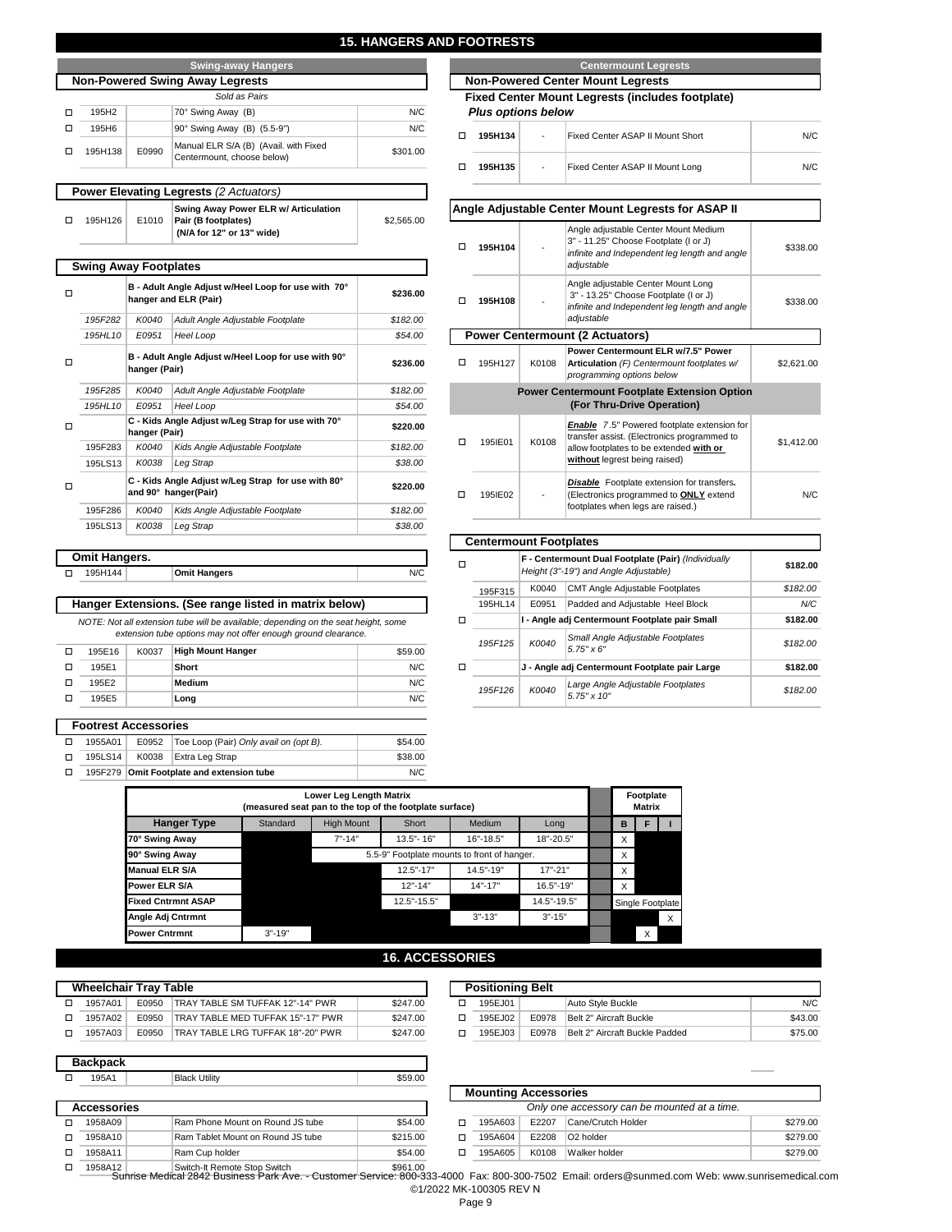## **15. HANGERS AND FOOTRESTS**

| <b>Swing-away Hangers</b>              |       |                                                                     |          |  |  |  |  |  |
|----------------------------------------|-------|---------------------------------------------------------------------|----------|--|--|--|--|--|
| <b>Non-Powered Swing Away Legrests</b> |       |                                                                     |          |  |  |  |  |  |
| Sold as Pairs                          |       |                                                                     |          |  |  |  |  |  |
| 195H2                                  |       | 70° Swing Away (B)                                                  | N/C      |  |  |  |  |  |
| 195H6                                  |       | 90° Swing Away (B) (5.5-9")                                         | N/C      |  |  |  |  |  |
| 195H138                                | E0990 | Manual ELR S/A (B) (Avail. with Fixed<br>Centermount, choose below) | \$301.00 |  |  |  |  |  |

| <b>Power Elevating Legrests (2 Actuators)</b> |         |       |                                                                                          |            |  |  |
|-----------------------------------------------|---------|-------|------------------------------------------------------------------------------------------|------------|--|--|
| □                                             | 195H126 | E1010 | Swing Away Power ELR w/ Articulation<br>Pair (B footplates)<br>(N/A for 12" or 13" wide) | \$2,565.00 |  |  |

| <b>Swing Away Footplates</b> |         |                                                                      |                                                                              |          |  |  |
|------------------------------|---------|----------------------------------------------------------------------|------------------------------------------------------------------------------|----------|--|--|
| п                            |         |                                                                      | B - Adult Angle Adjust w/Heel Loop for use with 70°<br>hanger and ELR (Pair) | \$236.00 |  |  |
|                              | 195F282 | K0040                                                                | Adult Angle Adjustable Footplate                                             | \$182.00 |  |  |
|                              | 195HL10 | E0951                                                                | Heel Loop                                                                    | \$54.00  |  |  |
| п                            |         | B - Adult Angle Adjust w/Heel Loop for use with 90°<br>hanger (Pair) |                                                                              | \$236.00 |  |  |
|                              | 195F285 | K0040                                                                | Adult Angle Adjustable Footplate                                             | \$182.00 |  |  |
|                              | 195HL10 | E0951                                                                | Heel Loop                                                                    | \$54.00  |  |  |
| п                            |         | C - Kids Angle Adjust w/Leg Strap for use with 70°<br>hanger (Pair)  | \$220.00                                                                     |          |  |  |
|                              | 195F283 | K0040                                                                | Kids Angle Adjustable Footplate                                              | \$182.00 |  |  |
|                              | 195LS13 | K0038                                                                | Leg Strap                                                                    | \$38.00  |  |  |
| п                            |         |                                                                      | C - Kids Angle Adjust w/Leg Strap for use with 80°<br>and 90° hanger(Pair)   | \$220.00 |  |  |
|                              | 195F286 | K0040                                                                | Kids Angle Adjustable Footplate                                              | \$182.00 |  |  |
|                              | 195LS13 | K0038                                                                | Leg Strap                                                                    | \$38.00  |  |  |

| <b>Omit Hangers.</b> |                     |     |
|----------------------|---------------------|-----|
| 195H144              | <b>Omit Hangers</b> | N/C |

#### **Hanger Extensions. (See range listed in matrix below)**

 *NOTE: Not all extension tube will be available; depending on the seat height, some extension tube options may not offer enough ground clearance.*

| 195E16 | K0037 | <b>High Mount Hanger</b> | \$59.00 |  |
|--------|-------|--------------------------|---------|--|
| 195E1  |       | Short                    | N/C     |  |
| 195E2  |       | Medium                   | N/C     |  |
| 195E5  |       | Long                     | N/C     |  |

o K0038 Extra Leg Strap 195LS14 \$38.00 o o 195F279 **Omit Footplate and extension tube**

□ 1955A01 E0952 Toe Loop (Pair) *Only avail on (opt B).* 

**Footrest Accessories**

#### **Centermount Legrests Non-Powered Center Mount Legrests Fixed Center Mount Legrests (includes footplate)**  *Plus options below* **195H134** Fixed Center ASAP II Mount Short J. o -

| п | 195H134 | $\sim$ | Fixed Center ASAP II Mount Short | N/C |
|---|---------|--------|----------------------------------|-----|
|   | 195H135 | $\sim$ | Fixed Center ASAP II Mount Long  | N/C |

## **Angle Adjustable Center Mount Legrests for ASAP II**

| п                                      | 195H104                                                                           |       | Angle adjustable Center Mount Medium<br>3" - 11.25" Choose Footplate (I or J)<br>infinite and Independent leg length and angle<br>adjustable                                  | \$338.00   |  |  |  |  |
|----------------------------------------|-----------------------------------------------------------------------------------|-------|-------------------------------------------------------------------------------------------------------------------------------------------------------------------------------|------------|--|--|--|--|
|                                        | 195H108                                                                           |       | Angle adjustable Center Mount Long<br>3" - 13.25" Choose Footplate (I or J)<br>infinite and Independent leg length and angle<br>adjustable                                    | \$338.00   |  |  |  |  |
| <b>Power Centermount (2 Actuators)</b> |                                                                                   |       |                                                                                                                                                                               |            |  |  |  |  |
| п                                      | 195H127                                                                           | K0108 | Power Centermount ELR w/7.5" Power<br>Articulation (F) Centermount footplates w/<br>programming options below                                                                 | \$2,621.00 |  |  |  |  |
|                                        | <b>Power Centermount Footplate Extension Option</b><br>(For Thru-Drive Operation) |       |                                                                                                                                                                               |            |  |  |  |  |
| п                                      | 195IE01                                                                           | K0108 | <b>Enable</b> 7.5" Powered footplate extension for<br>transfer assist. (Electronics programmed to<br>allow footplates to be extended with or<br>without legrest being raised) | \$1,412.00 |  |  |  |  |
| п                                      | 195IE02                                                                           |       | Disable Footplate extension for transfers.<br>(Electronics programmed to ONLY extend<br>footplates when legs are raised.)                                                     | N/C        |  |  |  |  |

|         | <b>Centermount Footplates</b> |                                                                                              |          |  |  |  |  |
|---------|-------------------------------|----------------------------------------------------------------------------------------------|----------|--|--|--|--|
|         |                               | F - Centermount Dual Footplate (Pair) (Individually<br>Height (3"-19") and Angle Adjustable) | \$182.00 |  |  |  |  |
| 195F315 | K0040                         | <b>CMT Angle Adjustable Footplates</b>                                                       | \$182.00 |  |  |  |  |
| 195HL14 | E0951                         | Padded and Adjustable Heel Block                                                             | N/C      |  |  |  |  |
|         |                               | I - Angle adj Centermount Footplate pair Small                                               |          |  |  |  |  |
| 195F125 | K0040                         | Small Angle Adjustable Footplates<br>$5.75" \times 6"$                                       | \$182.00 |  |  |  |  |
|         |                               | J - Angle adj Centermount Footplate pair Large                                               | \$182.00 |  |  |  |  |
| 195F126 | K0040                         | Large Angle Adjustable Footplates<br>$5.75" \times 10"$                                      | \$182.00 |  |  |  |  |

|                           | Lower Leg Length Matrix<br>(measured seat pan to the top of the footplate surface)<br>Standard<br><b>High Mount</b><br>Medium<br><b>Hanger Type</b><br>Short<br>Long<br>$7" - 14"$<br>13.5" - 16"<br>18"-20.5"<br>$16" - 18.5"$<br>5.5-9" Footplate mounts to front of hanger.<br>$12.5" - 17"$<br>$14.5" - 19"$<br>$17" - 21"$<br>$16.5" - 19"$<br>$12" - 14"$<br>$14" - 17"$ |  |             |            |             |  |                  | Footplate<br><b>Matrix</b> |   |
|---------------------------|--------------------------------------------------------------------------------------------------------------------------------------------------------------------------------------------------------------------------------------------------------------------------------------------------------------------------------------------------------------------------------|--|-------------|------------|-------------|--|------------------|----------------------------|---|
|                           |                                                                                                                                                                                                                                                                                                                                                                                |  |             |            |             |  | в                | F                          |   |
| 70° Swing Away            |                                                                                                                                                                                                                                                                                                                                                                                |  |             |            |             |  | X                |                            |   |
| 90° Swing Away            |                                                                                                                                                                                                                                                                                                                                                                                |  |             |            |             |  | X                |                            |   |
| <b>Manual ELR S/A</b>     |                                                                                                                                                                                                                                                                                                                                                                                |  |             |            |             |  | X                |                            |   |
| <b>Power ELR S/A</b>      |                                                                                                                                                                                                                                                                                                                                                                                |  |             |            |             |  | X                |                            |   |
| <b>Fixed Cntrmnt ASAP</b> |                                                                                                                                                                                                                                                                                                                                                                                |  | 12.5"-15.5" |            | 14.5"-19.5" |  | Single Footplate |                            |   |
| Angle Adj Cntrmnt         |                                                                                                                                                                                                                                                                                                                                                                                |  |             | $3" - 13"$ | $3" - 15"$  |  |                  |                            | X |
| <b>Power Cntrmnt</b>      | $3" - 19"$                                                                                                                                                                                                                                                                                                                                                                     |  |             |            |             |  |                  | X                          |   |

N/C

\$54.00

 $\overline{\phantom{a}}$ 

## **16. ACCESSORIES**

| <b>Wheelchair Tray Table</b> | <b>Positioning Belt</b> |                                   |          |         |      |
|------------------------------|-------------------------|-----------------------------------|----------|---------|------|
| 1957A01                      | E0950                   | TRAY TABLE SM TUFFAK 12"-14" PWR  | \$247.00 | 195EJ01 |      |
| 1957A02                      | E0950                   | TRAY TABLE MED TUFFAK 15"-17" PWR | \$247.00 | 195EJ02 | E097 |
| 1957A03                      | E0950                   | TRAY TABLE LRG TUFFAK 18"-20" PWR | \$247.00 | 195EJ03 | E097 |

| <b>Positioning Belt</b> |       |                                |         |  |  |  |  |
|-------------------------|-------|--------------------------------|---------|--|--|--|--|
| 195EJ01                 |       | Auto Style Buckle              | N/C     |  |  |  |  |
| 195EJ02                 | E0978 | Belt 2" Aircraft Buckle        | \$43.00 |  |  |  |  |
| 195EJ03                 | E0978 | Belt 2" Aircraft Buckle Padded | \$75.00 |  |  |  |  |

|       | <b>Backpack</b>    |                                   |          |
|-------|--------------------|-----------------------------------|----------|
| 195A1 |                    | <b>Black Utility</b>              |          |
|       | <b>Accessories</b> |                                   |          |
|       | 1958A09            | Ram Phone Mount on Round JS tube  | \$54.00  |
|       | 1958A10            | Ram Tablet Mount on Round JS tube | \$215.00 |
|       | 1958A11            | Ram Cup holder                    | \$54.00  |
|       | 1958A12            | Switch-It Remote Stop Switch      | \$961.00 |

| ורשכו     | <b>DIACK OTHER</b>                | ມມສ.ບບ   |                             |       |                                              |          |
|-----------|-----------------------------------|----------|-----------------------------|-------|----------------------------------------------|----------|
|           |                                   |          | <b>Mounting Accessories</b> |       |                                              |          |
| cessories |                                   |          |                             |       | Only one accessory can be mounted at a time. |          |
| 1958A09   | Ram Phone Mount on Round JS tube  | \$54.00  | 195A603                     | E2207 | Cane/Crutch Holder                           | \$279.00 |
| 1958A10   | Ram Tablet Mount on Round JS tube | \$215.00 | 195A604                     | E2208 | O <sub>2</sub> holder                        | \$279.00 |
| 1958A11   | Ram Cup holder                    | \$54.00  | 195A605                     | K0108 | Walker holder                                | \$279.00 |

1958A12 Switch-It Remote Stop Switch \$961.00 Sunrise Medical 2842 Business Park Ave. - Customer Service: 800-333-4000 Fax: 800-300-7502 Email: orders@sunmed.com Web: www.sunrisemedical.com ©1/2022 MK-100305 REV N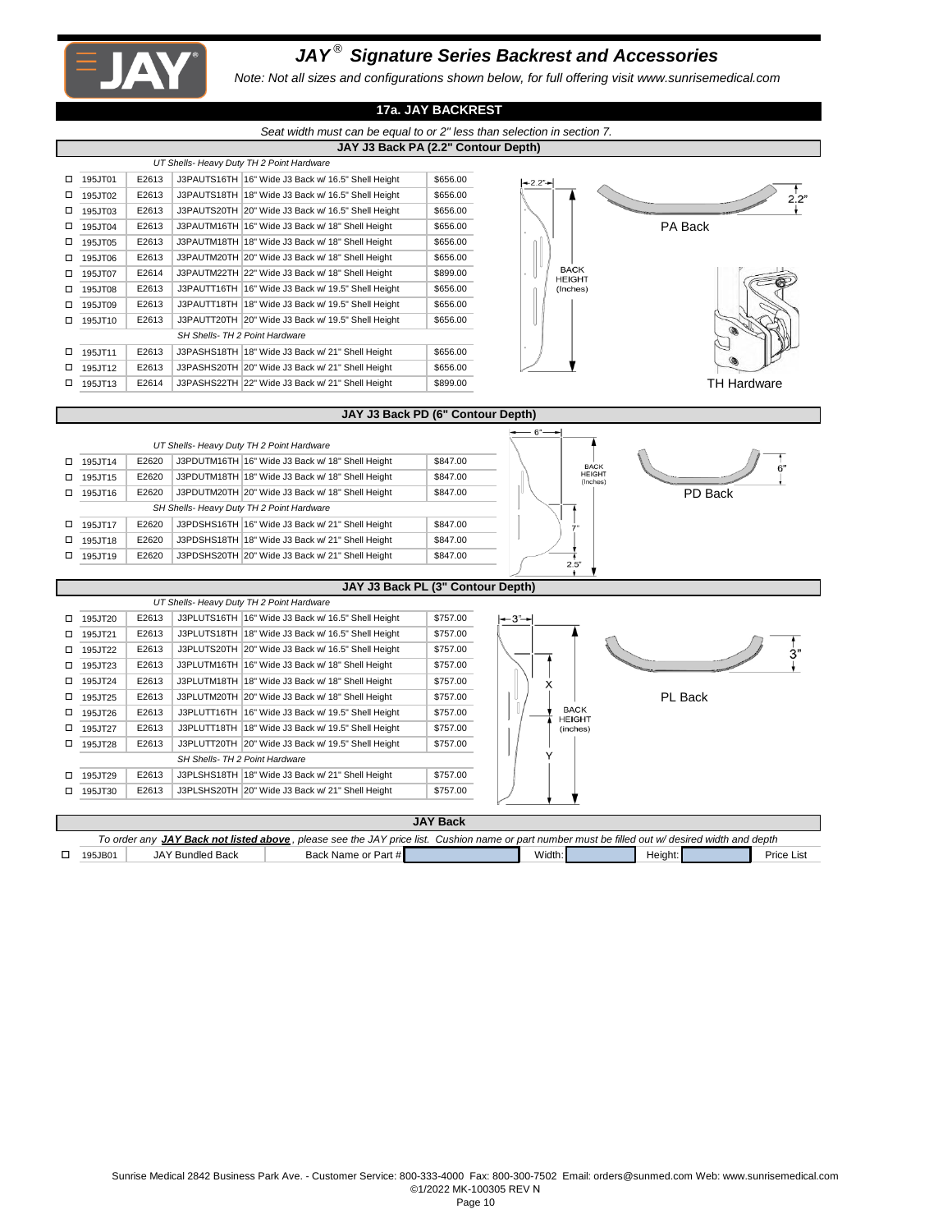

#### *JAY ® Signature Series Backrest and Accessories*

*Note: Not all sizes and configurations shown below, for full offering visit www.sunrisemedical.com*